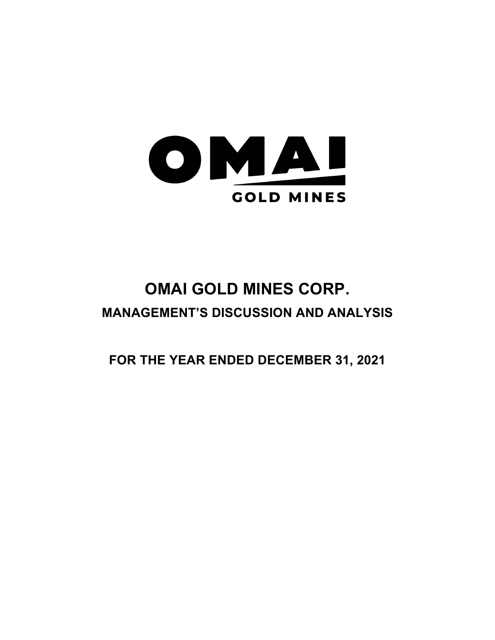

# **OMAI GOLD MINES CORP. MANAGEMENT'S DISCUSSION AND ANALYSIS**

**FOR THE YEAR ENDED DECEMBER 31, 2021**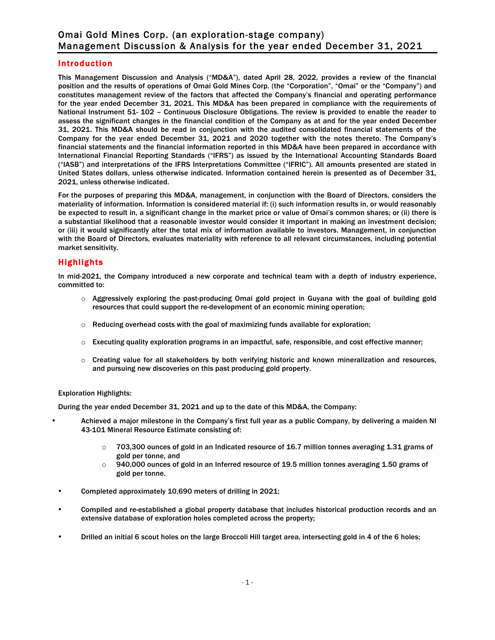## Introduction

This Management Discussion and Analysis ("MD&A"), dated April 28, 2022, provides a review of the financial position and the results of operations of Omai Gold Mines Corp. (the "Corporation", "Omai" or the "Company") and constitutes management review of the factors that affected the Company's financial and operating performance for the year ended December 31, 2021. This MD&A has been prepared in compliance with the requirements of National Instrument 51- 102 – Continuous Disclosure Obligations. The review is provided to enable the reader to assess the significant changes in the financial condition of the Company as at and for the year ended December 31, 2021. This MD&A should be read in conjunction with the audited consolidated financial statements of the Company for the year ended December 31, 2021 and 2020 together with the notes thereto. The Company's financial statements and the financial information reported in this MD&A have been prepared in accordance with International Financial Reporting Standards ("IFRS") as issued by the International Accounting Standards Board ("IASB") and interpretations of the IFRS Interpretations Committee ("IFRIC"). All amounts presented are stated in United States dollars, unless otherwise indicated. Information contained herein is presented as of December 31, 2021, unless otherwise indicated.

For the purposes of preparing this MD&A, management, in conjunction with the Board of Directors, considers the materiality of information. Information is considered material if: (i) such information results in, or would reasonably be expected to result in, a significant change in the market price or value of Omai's common shares; or (ii) there is a substantial likelihood that a reasonable investor would consider it important in making an investment decision; or (iii) it would significantly alter the total mix of information available to investors. Management, in conjunction with the Board of Directors, evaluates materiality with reference to all relevant circumstances, including potential market sensitivity.

## Highlights

In mid-2021, the Company introduced a new corporate and technical team with a depth of industry experience, committed to:

- $\circ$  Aggressively exploring the past-producing Omai gold project in Guyana with the goal of building gold resources that could support the re-development of an economic mining operation;
- $\circ$  Reducing overhead costs with the goal of maximizing funds available for exploration;
- o Executing quality exploration programs in an impactful, safe, responsible, and cost effective manner;
- o Creating value for all stakeholders by both verifying historic and known mineralization and resources, and pursuing new discoveries on this past producing gold property.

#### Exploration Highlights:

During the year ended December 31, 2021 and up to the date of this MD&A, the Company:

- Achieved a major milestone in the Company's first full year as a public Company, by delivering a maiden NI 43-101 Mineral Resource Estimate consisting of:
	- $\circ$  703,300 ounces of gold in an Indicated resource of 16.7 million tonnes averaging 1.31 grams of gold per tonne, and
	- $\circ$  940,000 ounces of gold in an Inferred resource of 19.5 million tonnes averaging 1.50 grams of gold per tonne.
- Completed approximately 10,690 meters of drilling in 2021;
- Compiled and re-established a global property database that includes historical production records and an extensive database of exploration holes completed across the property;
- Drilled an initial 6 scout holes on the large Broccoli Hill target area, intersecting gold in 4 of the 6 holes;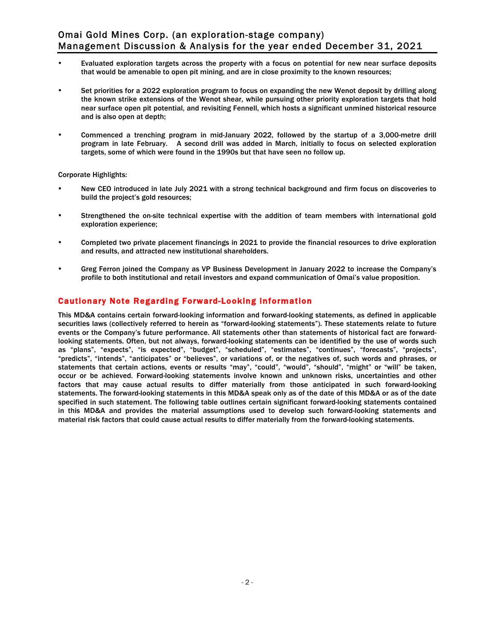- Evaluated exploration targets across the property with a focus on potential for new near surface deposits that would be amenable to open pit mining, and are in close proximity to the known resources;
- Set priorities for a 2022 exploration program to focus on expanding the new Wenot deposit by drilling along the known strike extensions of the Wenot shear, while pursuing other priority exploration targets that hold near surface open pit potential, and revisiting Fennell, which hosts a significant unmined historical resource and is also open at depth;
- Commenced a trenching program in mid-January 2022, followed by the startup of a 3,000-metre drill program in late February. A second drill was added in March, initially to focus on selected exploration targets, some of which were found in the 1990s but that have seen no follow up.

#### Corporate Highlights:

- New CEO introduced in late July 2021 with a strong technical background and firm focus on discoveries to build the project's gold resources;
- Strengthened the on-site technical expertise with the addition of team members with international gold exploration experience;
- Completed two private placement financings in 2021 to provide the financial resources to drive exploration and results, and attracted new institutional shareholders.
- Greg Ferron joined the Company as VP Business Development in January 2022 to increase the Company's profile to both institutional and retail investors and expand communication of Omai's value proposition.

# Cautionary Note Regarding Forward-Looking Information

This MD&A contains certain forward-looking information and forward-looking statements, as defined in applicable securities laws (collectively referred to herein as "forward-looking statements"). These statements relate to future events or the Company's future performance. All statements other than statements of historical fact are forwardlooking statements. Often, but not always, forward-looking statements can be identified by the use of words such as "plans", "expects", "is expected", "budget", "scheduled", "estimates", "continues", "forecasts", "projects", "predicts", "intends", "anticipates" or "believes", or variations of, or the negatives of, such words and phrases, or statements that certain actions, events or results "may", "could", "would", "should", "might" or "will" be taken, occur or be achieved. Forward-looking statements involve known and unknown risks, uncertainties and other factors that may cause actual results to differ materially from those anticipated in such forward-looking statements. The forward-looking statements in this MD&A speak only as of the date of this MD&A or as of the date specified in such statement. The following table outlines certain significant forward-looking statements contained in this MD&A and provides the material assumptions used to develop such forward-looking statements and material risk factors that could cause actual results to differ materially from the forward-looking statements.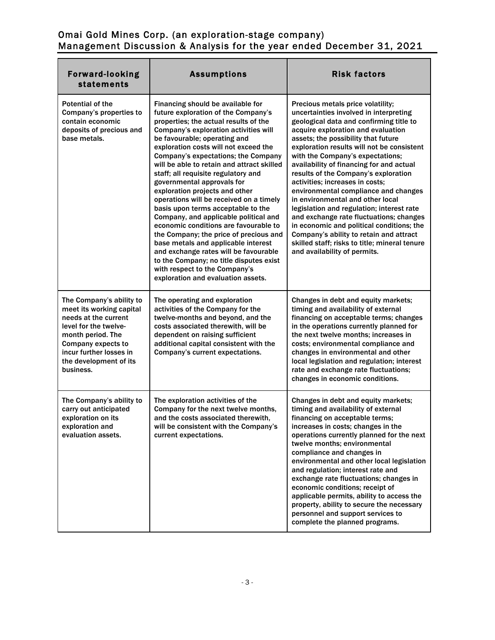| <b>Forward-looking</b><br>statements                                                                                                                                                                               | <b>Assumptions</b>                                                                                                                                                                                                                                                                                                                                                                                                                                                                                                                                                                                                                                                                                                                                                                                                                             | <b>Risk factors</b>                                                                                                                                                                                                                                                                                                                                                                                                                                                                                                                                                                                                                                                                                                                                       |
|--------------------------------------------------------------------------------------------------------------------------------------------------------------------------------------------------------------------|------------------------------------------------------------------------------------------------------------------------------------------------------------------------------------------------------------------------------------------------------------------------------------------------------------------------------------------------------------------------------------------------------------------------------------------------------------------------------------------------------------------------------------------------------------------------------------------------------------------------------------------------------------------------------------------------------------------------------------------------------------------------------------------------------------------------------------------------|-----------------------------------------------------------------------------------------------------------------------------------------------------------------------------------------------------------------------------------------------------------------------------------------------------------------------------------------------------------------------------------------------------------------------------------------------------------------------------------------------------------------------------------------------------------------------------------------------------------------------------------------------------------------------------------------------------------------------------------------------------------|
| <b>Potential of the</b><br>Company's properties to<br>contain economic<br>deposits of precious and<br>base metals.                                                                                                 | Financing should be available for<br>future exploration of the Company's<br>properties; the actual results of the<br>Company's exploration activities will<br>be favourable; operating and<br>exploration costs will not exceed the<br>Company's expectations; the Company<br>will be able to retain and attract skilled<br>staff; all requisite regulatory and<br>governmental approvals for<br>exploration projects and other<br>operations will be received on a timely<br>basis upon terms acceptable to the<br>Company, and applicable political and<br>economic conditions are favourable to<br>the Company; the price of precious and<br>base metals and applicable interest<br>and exchange rates will be favourable<br>to the Company; no title disputes exist<br>with respect to the Company's<br>exploration and evaluation assets. | Precious metals price volatility;<br>uncertainties involved in interpreting<br>geological data and confirming title to<br>acquire exploration and evaluation<br>assets; the possibility that future<br>exploration results will not be consistent<br>with the Company's expectations;<br>availability of financing for and actual<br>results of the Company's exploration<br>activities; increases in costs;<br>environmental compliance and changes<br>in environmental and other local<br>legislation and regulation; interest rate<br>and exchange rate fluctuations; changes<br>in economic and political conditions; the<br>Company's ability to retain and attract<br>skilled staff; risks to title; mineral tenure<br>and availability of permits. |
| The Company's ability to<br>meet its working capital<br>needs at the current<br>level for the twelve-<br>month period. The<br>Company expects to<br>incur further losses in<br>the development of its<br>business. | The operating and exploration<br>activities of the Company for the<br>twelve-months and beyond, and the<br>costs associated therewith, will be<br>dependent on raising sufficient<br>additional capital consistent with the<br>Company's current expectations.                                                                                                                                                                                                                                                                                                                                                                                                                                                                                                                                                                                 | Changes in debt and equity markets;<br>timing and availability of external<br>financing on acceptable terms; changes<br>in the operations currently planned for<br>the next twelve months; increases in<br>costs; environmental compliance and<br>changes in environmental and other<br>local legislation and regulation; interest<br>rate and exchange rate fluctuations;<br>changes in economic conditions.                                                                                                                                                                                                                                                                                                                                             |
| The Company's ability to<br>carry out anticipated<br>exploration on its<br>exploration and<br>evaluation assets.                                                                                                   | The exploration activities of the<br>Company for the next twelve months,<br>and the costs associated therewith,<br>will be consistent with the Company's<br>current expectations.                                                                                                                                                                                                                                                                                                                                                                                                                                                                                                                                                                                                                                                              | Changes in debt and equity markets;<br>timing and availability of external<br>financing on acceptable terms;<br>increases in costs; changes in the<br>operations currently planned for the next<br>twelve months; environmental<br>compliance and changes in<br>environmental and other local legislation<br>and regulation; interest rate and<br>exchange rate fluctuations; changes in<br>economic conditions; receipt of<br>applicable permits, ability to access the<br>property, ability to secure the necessary<br>personnel and support services to<br>complete the planned programs.                                                                                                                                                              |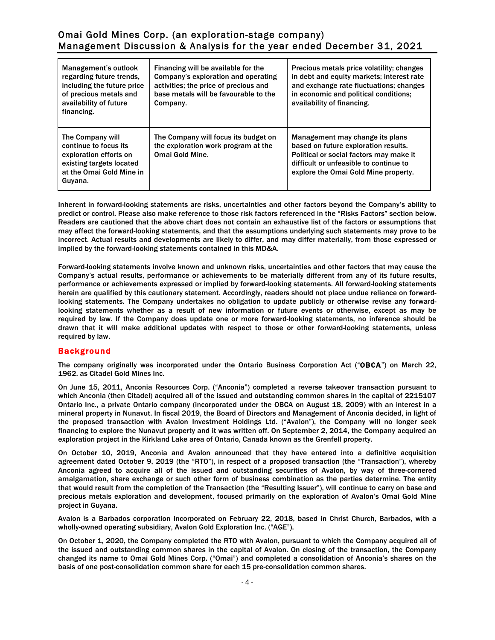| Management's outlook<br>regarding future trends.<br>including the future price<br>of precious metals and<br>availability of future<br>financing. | Financing will be available for the<br>Company's exploration and operating<br>activities; the price of precious and<br>base metals will be favourable to the<br>Company. | Precious metals price volatility; changes<br>in debt and equity markets; interest rate<br>and exchange rate fluctuations; changes<br>in economic and political conditions;<br>availability of financing. |
|--------------------------------------------------------------------------------------------------------------------------------------------------|--------------------------------------------------------------------------------------------------------------------------------------------------------------------------|----------------------------------------------------------------------------------------------------------------------------------------------------------------------------------------------------------|
| The Company will<br>continue to focus its<br>exploration efforts on<br>existing targets located<br>at the Omai Gold Mine in<br>Guyana.           | The Company will focus its budget on<br>the exploration work program at the<br><b>Omai Gold Mine.</b>                                                                    | Management may change its plans<br>based on future exploration results.<br>Political or social factors may make it<br>difficult or unfeasible to continue to<br>explore the Omai Gold Mine property.     |

Inherent in forward-looking statements are risks, uncertainties and other factors beyond the Company's ability to predict or control. Please also make reference to those risk factors referenced in the "Risks Factors" section below. Readers are cautioned that the above chart does not contain an exhaustive list of the factors or assumptions that may affect the forward-looking statements, and that the assumptions underlying such statements may prove to be incorrect. Actual results and developments are likely to differ, and may differ materially, from those expressed or implied by the forward-looking statements contained in this MD&A.

Forward-looking statements involve known and unknown risks, uncertainties and other factors that may cause the Company's actual results, performance or achievements to be materially different from any of its future results, performance or achievements expressed or implied by forward-looking statements. All forward-looking statements herein are qualified by this cautionary statement. Accordingly, readers should not place undue reliance on forwardlooking statements. The Company undertakes no obligation to update publicly or otherwise revise any forwardlooking statements whether as a result of new information or future events or otherwise, except as may be required by law. If the Company does update one or more forward-looking statements, no inference should be drawn that it will make additional updates with respect to those or other forward-looking statements, unless required by law.

# **Background**

The company originally was incorporated under the Ontario Business Corporation Act ("OBCA") on March 22, 1962, as Citadel Gold Mines Inc.

On June 15, 2011, Anconia Resources Corp. ("Anconia") completed a reverse takeover transaction pursuant to which Anconia (then Citadel) acquired all of the issued and outstanding common shares in the capital of 2215107 Ontario Inc., a private Ontario company (incorporated under the OBCA on August 18, 2009) with an interest in a mineral property in Nunavut. In fiscal 2019, the Board of Directors and Management of Anconia decided, in light of the proposed transaction with Avalon Investment Holdings Ltd. ("Avalon"), the Company will no longer seek financing to explore the Nunavut property and it was written off. On September 2, 2014, the Company acquired an exploration project in the Kirkland Lake area of Ontario, Canada known as the Grenfell property.

On October 10, 2019, Anconia and Avalon announced that they have entered into a definitive acquisition agreement dated October 9, 2019 (the "RTO"), in respect of a proposed transaction (the "Transaction"), whereby Anconia agreed to acquire all of the issued and outstanding securities of Avalon, by way of three-cornered amalgamation, share exchange or such other form of business combination as the parties determine. The entity that would result from the completion of the Transaction (the "Resulting Issuer"), will continue to carry on base and precious metals exploration and development, focused primarily on the exploration of Avalon's Omai Gold Mine project in Guyana.

Avalon is a Barbados corporation incorporated on February 22, 2018, based in Christ Church, Barbados, with a wholly-owned operating subsidiary, Avalon Gold Exploration Inc. ("AGE").

On October 1, 2020, the Company completed the RTO with Avalon, pursuant to which the Company acquired all of the issued and outstanding common shares in the capital of Avalon. On closing of the transaction, the Company changed its name to Omai Gold Mines Corp. ("Omai") and completed a consolidation of Anconia's shares on the basis of one post-consolidation common share for each 15 pre-consolidation common shares.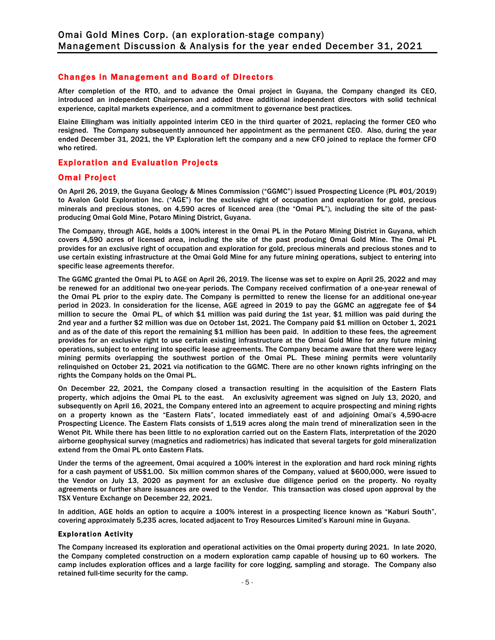## Changes in Management and Board of Directors

After completion of the RTO, and to advance the Omai project in Guyana, the Company changed its CEO, introduced an independent Chairperson and added three additional independent directors with solid technical experience, capital markets experience, and a commitment to governance best practices.

Elaine Ellingham was initially appointed interim CEO in the third quarter of 2021, replacing the former CEO who resigned. The Company subsequently announced her appointment as the permanent CEO. Also, during the year ended December 31, 2021, the VP Exploration left the company and a new CFO joined to replace the former CFO who retired.

# Exploration and Evaluation Projects

## Omai Project

On April 26, 2019, the Guyana Geology & Mines Commission ("GGMC") issued Prospecting Licence (PL #01/2019) to Avalon Gold Exploration Inc. ("AGE") for the exclusive right of occupation and exploration for gold, precious minerals and precious stones, on 4,590 acres of licenced area (the "Omai PL"), including the site of the pastproducing Omai Gold Mine, Potaro Mining District, Guyana.

The Company, through AGE, holds a 100% interest in the Omai PL in the Potaro Mining District in Guyana, which covers 4,590 acres of licensed area, including the site of the past producing Omai Gold Mine. The Omai PL provides for an exclusive right of occupation and exploration for gold, precious minerals and precious stones and to use certain existing infrastructure at the Omai Gold Mine for any future mining operations, subject to entering into specific lease agreements therefor.

The GGMC granted the Omai PL to AGE on April 26, 2019. The license was set to expire on April 25, 2022 and may be renewed for an additional two one-year periods. The Company received confirmation of a one-year renewal of the Omai PL prior to the expiry date. The Company is permitted to renew the license for an additional one-year period in 2023. In consideration for the license, AGE agreed in 2019 to pay the GGMC an aggregate fee of \$4 million to secure the Omai PL, of which \$1 million was paid during the 1st year, \$1 million was paid during the 2nd year and a further \$2 million was due on October 1st, 2021. The Company paid \$1 million on October 1, 2021 and as of the date of this report the remaining \$1 million has been paid. In addition to these fees, the agreement provides for an exclusive right to use certain existing infrastructure at the Omai Gold Mine for any future mining operations, subject to entering into specific lease agreements. The Company became aware that there were legacy mining permits overlapping the southwest portion of the Omai PL. These mining permits were voluntarily relinquished on October 21, 2021 via notification to the GGMC. There are no other known rights infringing on the rights the Company holds on the Omai PL.

On December 22, 2021, the Company closed a transaction resulting in the acquisition of the Eastern Flats property, which adjoins the Omai PL to the east. An exclusivity agreement was signed on July 13, 2020, and subsequently on April 16, 2021, the Company entered into an agreement to acquire prospecting and mining rights on a property known as the "Eastern Flats", located immediately east of and adjoining Omai's 4,590-acre Prospecting Licence. The Eastern Flats consists of 1,519 acres along the main trend of mineralization seen in the Wenot Pit. While there has been little to no exploration carried out on the Eastern Flats, interpretation of the 2020 airborne geophysical survey (magnetics and radiometrics) has indicated that several targets for gold mineralization extend from the Omai PL onto Eastern Flats.

Under the terms of the agreement, Omai acquired a 100% interest in the exploration and hard rock mining rights for a cash payment of US\$1.00. Six million common shares of the Company, valued at \$600,000, were issued to the Vendor on July 13, 2020 as payment for an exclusive due diligence period on the property. No royalty agreements or further share issuances are owed to the Vendor. This transaction was closed upon approval by the TSX Venture Exchange on December 22, 2021.

In addition, AGE holds an option to acquire a 100% interest in a prospecting licence known as "Kaburi South", covering approximately 5,235 acres, located adjacent to Troy Resources Limited's Karouni mine in Guyana.

#### Exploration Activity

The Company increased its exploration and operational activities on the Omai property during 2021. In late 2020, the Company completed construction on a modern exploration camp capable of housing up to 60 workers. The camp includes exploration offices and a large facility for core logging, sampling and storage. The Company also retained full-time security for the camp.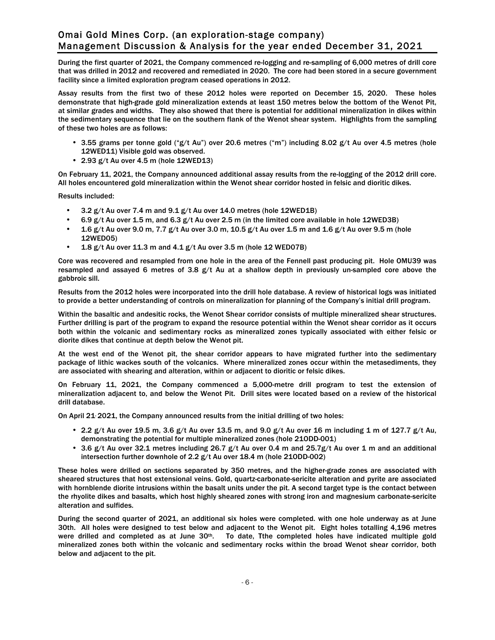During the first quarter of 2021, the Company commenced re-logging and re-sampling of 6,000 metres of drill core that was drilled in 2012 and recovered and remediated in 2020. The core had been stored in a secure government facility since a limited exploration program ceased operations in 2012.

Assay results from the first two of these 2012 holes were reported on December 15, 2020. These holes demonstrate that high-grade gold mineralization extends at least 150 metres below the bottom of the Wenot Pit, at similar grades and widths. They also showed that there is potential for additional mineralization in dikes within the sedimentary sequence that lie on the southern flank of the Wenot shear system. Highlights from the sampling of these two holes are as follows:

- 3.55 grams per tonne gold ("g/t Au") over 20.6 metres ("m") including 8.02 g/t Au over 4.5 metres (hole 12WED11) Visible gold was observed.
- 2.93 g/t Au over 4.5 m (hole 12WED13)

On February 11, 2021, the Company announced additional assay results from the re-logging of the 2012 drill core. All holes encountered gold mineralization within the Wenot shear corridor hosted in felsic and dioritic dikes.

Results included:

- 3.2 g/t Au over 7.4 m and 9.1 g/t Au over 14.0 metres (hole 12WED1B)
- 6.9 g/t Au over 1.5 m, and 6.3 g/t Au over 2.5 m (in the limited core available in hole 12WED3B)
- 1.6 g/t Au over 9.0 m, 7.7 g/t Au over 3.0 m, 10.5 g/t Au over 1.5 m and 1.6 g/t Au over 9.5 m (hole 12WED05)
- $\cdot$  1.8 g/t Au over 11.3 m and 4.1 g/t Au over 3.5 m (hole 12 WED07B)

Core was recovered and resampled from one hole in the area of the Fennell past producing pit. Hole OMU39 was resampled and assayed 6 metres of 3.8 g/t Au at a shallow depth in previously un-sampled core above the gabbroic sill.

Results from the 2012 holes were incorporated into the drill hole database. A review of historical logs was initiated to provide a better understanding of controls on mineralization for planning of the Company's initial drill program.

Within the basaltic and andesitic rocks, the Wenot Shear corridor consists of multiple mineralized shear structures. Further drilling is part of the program to expand the resource potential within the Wenot shear corridor as it occurs both within the volcanic and sedimentary rocks as mineralized zones typically associated with either felsic or diorite dikes that continue at depth below the Wenot pit.

At the west end of the Wenot pit, the shear corridor appears to have migrated further into the sedimentary package of lithic wackes south of the volcanics. Where mineralized zones occur within the metasediments, they are associated with shearing and alteration, within or adjacent to dioritic or felsic dikes.

On February 11, 2021, the Company commenced a 5,000-metre drill program to test the extension of mineralization adjacent to, and below the Wenot Pit. Drill sites were located based on a review of the historical drill database.

On April 21, 2021, the Company announced results from the initial drilling of two holes:

- 2.2 g/t Au over 19.5 m, 3.6 g/t Au over 13.5 m, and 9.0 g/t Au over 16 m including 1 m of 127.7 g/t Au, demonstrating the potential for multiple mineralized zones (hole 21ODD-001)
- 3.6 g/t Au over 32.1 metres including 26.7 g/t Au over 0.4 m and 25.7g/t Au over 1 m and an additional intersection further downhole of 2.2 g/t Au over 18.4 m (hole 21ODD-002)

These holes were drilled on sections separated by 350 metres, and the higher-grade zones are associated with sheared structures that host extensional veins. Gold, quartz-carbonate-sericite alteration and pyrite are associated with hornblende diorite intrusions within the basalt units under the pit. A second target type is the contact between the rhyolite dikes and basalts, which host highly sheared zones with strong iron and magnesium carbonate-sericite alteration and sulfides.

During the second quarter of 2021, an additional six holes were completed. with one hole underway as at June 30th. All holes were designed to test below and adjacent to the Wenot pit. Eight holes totalling 4,196 metres were drilled and completed as at June  $30<sup>th</sup>$ . To date, Tthe completed holes have indicated multiple gold mineralized zones both within the volcanic and sedimentary rocks within the broad Wenot shear corridor, both below and adjacent to the pit.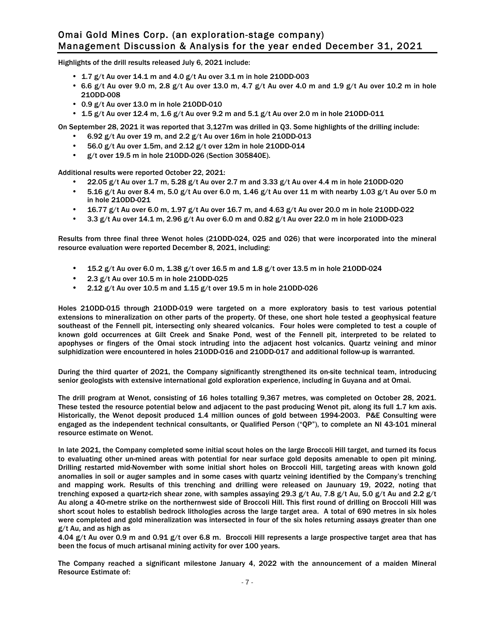Highlights of the drill results released July 6, 2021 include:

- 1.7  $g/t$  Au over 14.1 m and 4.0  $g/t$  Au over 3.1 m in hole 210DD-003
- 6.6 g/t Au over 9.0 m, 2.8 g/t Au over 13.0 m, 4.7 g/t Au over 4.0 m and 1.9 g/t Au over 10.2 m in hole 21ODD-008
- 0.9 g/t Au over 13.0 m in hole 21ODD-010
- 1.5 g/t Au over 12.4 m, 1.6 g/t Au over 9.2 m and 5.1 g/t Au over 2.0 m in hole 210DD-011

On September 28, 2021 it was reported that 3,127m was drilled in Q3. Some highlights of the drilling include:

- $\cdot$  6.92 g/t Au over 19 m, and 2.2 g/t Au over 16m in hole 210DD-013
- 56.0 g/t Au over 1.5m, and  $2.12$  g/t over 12m in hole 210DD-014<br>•  $5/1$  over 19.5 m in hole 210DD-026 (Section 3058405)
- g/t over 19.5 m in hole 21ODD-026 (Section 305840E).

Additional results were reported October 22, 2021:

- 22.05 g/t Au over 1.7 m, 5.28 g/t Au over 2.7 m and 3.33 g/t Au over 4.4 m in hole 210DD-020
- $\cdot$  5.16 g/t Au over 8.4 m, 5.0 g/t Au over 6.0 m, 1.46 g/t Au over 11 m with nearby 1.03 g/t Au over 5.0 m in hole 21ODD-021
- 16.77 g/t Au over 6.0 m, 1.97 g/t Au over 16.7 m, and 4.63 g/t Au over 20.0 m in hole 21ODD-022
- 3.3  $g/t$  Au over 14.1 m, 2.96  $g/t$  Au over 6.0 m and 0.82  $g/t$  Au over 22.0 m in hole 210DD-023

Results from three final three Wenot holes (21ODD-024, 025 and 026) that were incorporated into the mineral resource evaluation were reported December 8, 2021, including:

- 15.2 g/t Au over 6.0 m, 1.38 g/t over 16.5 m and 1.8 g/t over 13.5 m in hole 210DD-024
- 2.3  $g/t$  Au over 10.5 m in hole 210DD-025
- 2.12  $g/t$  Au over 10.5 m and 1.15  $g/t$  over 19.5 m in hole 210DD-026

Holes 21ODD-015 through 21ODD-019 were targeted on a more exploratory basis to test various potential extensions to mineralization on other parts of the property. Of these, one short hole tested a geophysical feature southeast of the Fennell pit, intersecting only sheared volcanics. Four holes were completed to test a couple of known gold occurrences at Gilt Creek and Snake Pond, west of the Fennell pit, interpreted to be related to apophyses or fingers of the Omai stock intruding into the adjacent host volcanics. Quartz veining and minor sulphidization were encountered in holes 21ODD-016 and 21ODD-017 and additional follow-up is warranted.

During the third quarter of 2021, the Company significantly strengthened its on-site technical team, introducing senior geologists with extensive international gold exploration experience, including in Guyana and at Omai.

The drill program at Wenot, consisting of 16 holes totalling 9,367 metres, was completed on October 28, 2021. These tested the resource potential below and adjacent to the past producing Wenot pit, along its full 1.7 km axis. Historically, the Wenot deposit produced 1.4 million ounces of gold between 1994-2003. P&E Consulting were engaged as the independent technical consultants, or Qualified Person ("QP"), to complete an NI 43-101 mineral resource estimate on Wenot.

In late 2021, the Company completed some initial scout holes on the large Broccoli Hill target, and turned its focus to evaluating other un-mined areas with potential for near surface gold deposits amenable to open pit mining. Drilling restarted mid-November with some initial short holes on Broccoli Hill, targeting areas with known gold anomalies in soil or auger samples and in some cases with quartz veining identified by the Company's trenching and mapping work. Results of this trenching and drilling were released on Jaunuary 19, 2022, noting that trenching exposed a quartz-rich shear zone, with samples assaying 29.3 g/t Au, 7.8 g/t Au, 5.0 g/t Au and 2.2 g/t Au along a 40-metre strike on the northernwest side of Broccoli Hill. This first round of drilling on Broccoli Hill was short scout holes to establish bedrock lithologies across the large target area. A total of 690 metres in six holes were completed and gold mineralization was intersected in four of the six holes returning assays greater than one g/t Au, and as high as

4.04 g/t Au over 0.9 m and 0.91 g/t over 6.8 m. Broccoli Hill represents a large prospective target area that has been the focus of much artisanal mining activity for over 100 years.

The Company reached a significant milestone January 4, 2022 with the announcement of a maiden Mineral Resource Estimate of: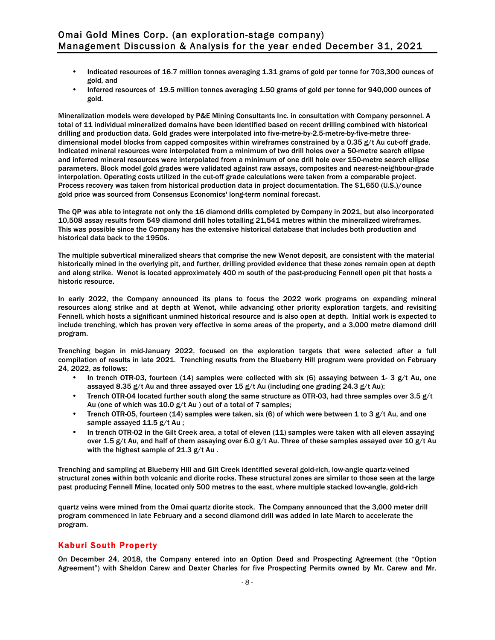- Indicated resources of 16.7 million tonnes averaging 1.31 grams of gold per tonne for 703,300 ounces of gold, and
- Inferred resources of 19.5 million tonnes averaging 1.50 grams of gold per tonne for 940,000 ounces of gold.

Mineralization models were developed by P&E Mining Consultants Inc. in consultation with Company personnel. A total of 11 individual mineralized domains have been identified based on recent drilling combined with historical drilling and production data. Gold grades were interpolated into five-metre-by-2.5-metre-by-five-metre threedimensional model blocks from capped composites within wireframes constrained by a 0.35 g/t Au cut-off grade. Indicated mineral resources were interpolated from a minimum of two drill holes over a 50-metre search ellipse and inferred mineral resources were interpolated from a minimum of one drill hole over 150-metre search ellipse parameters. Block model gold grades were validated against raw assays, composites and nearest-neighbour-grade interpolation. Operating costs utilized in the cut-off grade calculations were taken from a comparable project. Process recovery was taken from historical production data in project documentation. The \$1,650 (U.S.)/ounce gold price was sourced from Consensus Economics' long-term nominal forecast.

The QP was able to integrate not only the 16 diamond drills completed by Company in 2021, but also incorporated 10,508 assay results from 549 diamond drill holes totalling 21,541 metres within the mineralized wireframes. This was possible since the Company has the extensive historical database that includes both production and historical data back to the 1950s.

The multiple subvertical mineralized shears that comprise the new Wenot deposit, are consistent with the material historically mined in the overlying pit, and further, drilling provided evidence that these zones remain open at depth and along strike. Wenot is located approximately 400 m south of the past-producing Fennell open pit that hosts a historic resource.

In early 2022, the Company announced its plans to focus the 2022 work programs on expanding mineral resources along strike and at depth at Wenot, while advancing other priority exploration targets, and revisiting Fennell, which hosts a significant unmined historical resource and is also open at depth. Initial work is expected to include trenching, which has proven very effective in some areas of the property, and a 3,000 metre diamond drill program.

Trenching began in mid-January 2022, focused on the exploration targets that were selected after a full compilation of results in late 2021. Trenching results from the Blueberry Hill program were provided on February 24, 2022, as follows:

- In trench OTR-03, fourteen (14) samples were collected with six (6) assaying between 1- 3  $g/t$  Au, one assayed 8.35 g/t Au and three assayed over 15 g/t Au (including one grading 24.3 g/t Au);
- Trench OTR-04 located further south along the same structure as OTR-03, had three samples over 3.5  $g/t$ Au (one of which was 10.0 g/t Au ) out of a total of 7 samples;
- Trench OTR-05, fourteen (14) samples were taken, six (6) of which were between 1 to 3  $g/t$  Au, and one sample assayed 11.5 g/t Au ;
- In trench OTR-02 in the Gilt Creek area, a total of eleven (11) samples were taken with all eleven assaying over 1.5 g/t Au, and half of them assaying over 6.0 g/t Au. Three of these samples assayed over 10 g/t Au with the highest sample of 21.3 g/t Au.

Trenching and sampling at Blueberry Hill and Gilt Creek identified several gold-rich, low-angle quartz-veined structural zones within both volcanic and diorite rocks. These structural zones are similar to those seen at the large past producing Fennell Mine, located only 500 metres to the east, where multiple stacked low-angle, gold-rich

quartz veins were mined from the Omai quartz diorite stock. The Company announced that the 3,000 meter drill program commenced in late February and a second diamond drill was added in late March to accelerate the program.

# Kaburi South Property

On December 24, 2018, the Company entered into an Option Deed and Prospecting Agreement (the "Option Agreement") with Sheldon Carew and Dexter Charles for five Prospecting Permits owned by Mr. Carew and Mr.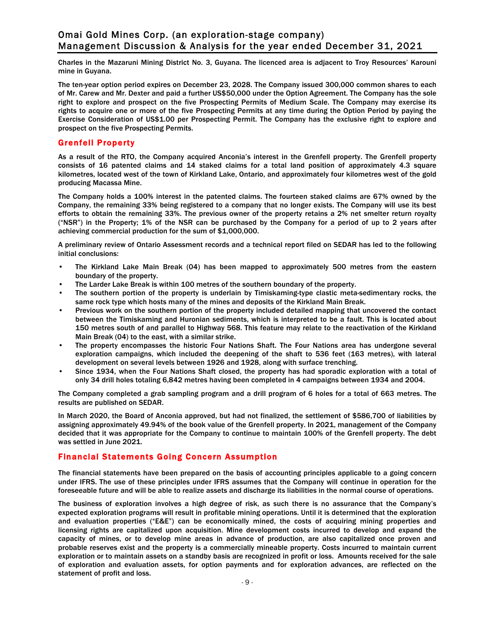Charles in the Mazaruni Mining District No. 3, Guyana. The licenced area is adjacent to Troy Resources' Karouni mine in Guyana.

The ten-year option period expires on December 23, 2028. The Company issued 300,000 common shares to each of Mr. Carew and Mr. Dexter and paid a further US\$50,000 under the Option Agreement. The Company has the sole right to explore and prospect on the five Prospecting Permits of Medium Scale. The Company may exercise its rights to acquire one or more of the five Prospecting Permits at any time during the Option Period by paying the Exercise Consideration of US\$1.00 per Prospecting Permit. The Company has the exclusive right to explore and prospect on the five Prospecting Permits.

# Grenfell Property

As a result of the RTO, the Company acquired Anconia's interest in the Grenfell property. The Grenfell property consists of 16 patented claims and 14 staked claims for a total land position of approximately 4.3 square kilometres, located west of the town of Kirkland Lake, Ontario, and approximately four kilometres west of the gold producing Macassa Mine.

The Company holds a 100% interest in the patented claims. The fourteen staked claims are 67% owned by the Company, the remaining 33% being registered to a company that no longer exists. The Company will use its best efforts to obtain the remaining 33%. The previous owner of the property retains a 2% net smelter return royalty ("NSR") in the Property; 1% of the NSR can be purchased by the Company for a period of up to 2 years after achieving commercial production for the sum of \$1,000,000.

A preliminary review of Ontario Assessment records and a technical report filed on SEDAR has led to the following initial conclusions:

- The Kirkland Lake Main Break (04) has been mapped to approximately 500 metres from the eastern boundary of the property.
- The Larder Lake Break is within 100 metres of the southern boundary of the property.
- The southern portion of the property is underlain by Timiskaming-type clastic meta-sedimentary rocks, the same rock type which hosts many of the mines and deposits of the Kirkland Main Break.
- Previous work on the southern portion of the property included detailed mapping that uncovered the contact between the Timiskaming and Huronian sediments, which is interpreted to be a fault. This is located about 150 metres south of and parallel to Highway 568. This feature may relate to the reactivation of the Kirkland Main Break (04) to the east, with a similar strike.
- The property encompasses the historic Four Nations Shaft. The Four Nations area has undergone several exploration campaigns, which included the deepening of the shaft to 536 feet (163 metres), with lateral development on several levels between 1926 and 1928, along with surface trenching.
- Since 1934, when the Four Nations Shaft closed, the property has had sporadic exploration with a total of only 34 drill holes totaling 6,842 metres having been completed in 4 campaigns between 1934 and 2004.

The Company completed a grab sampling program and a drill program of 6 holes for a total of 663 metres. The results are published on SEDAR.

In March 2020, the Board of Anconia approved, but had not finalized, the settlement of \$586,700 of liabilities by assigning approximately 49.94% of the book value of the Grenfell property. In 2021, management of the Company decided that it was appropriate for the Company to continue to maintain 100% of the Grenfell property. The debt was settled in June 2021.

# Financial Statements Going Concern Assumption

The financial statements have been prepared on the basis of accounting principles applicable to a going concern under IFRS. The use of these principles under IFRS assumes that the Company will continue in operation for the foreseeable future and will be able to realize assets and discharge its liabilities in the normal course of operations.

The business of exploration involves a high degree of risk, as such there is no assurance that the Company's expected exploration programs will result in profitable mining operations. Until it is determined that the exploration and evaluation properties ("E&E") can be economically mined, the costs of acquiring mining properties and licensing rights are capitalized upon acquisition. Mine development costs incurred to develop and expand the capacity of mines, or to develop mine areas in advance of production, are also capitalized once proven and probable reserves exist and the property is a commercially mineable property. Costs incurred to maintain current exploration or to maintain assets on a standby basis are recognized in profit or loss. Amounts received for the sale of exploration and evaluation assets, for option payments and for exploration advances, are reflected on the statement of profit and loss.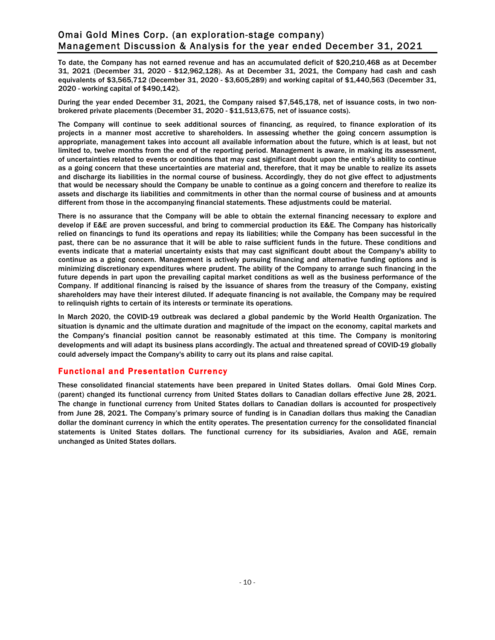To date, the Company has not earned revenue and has an accumulated deficit of \$20,210,468 as at December 31, 2021 (December 31, 2020 - \$12,962,128). As at December 31, 2021, the Company had cash and cash equivalents of \$3,565,712 (December 31, 2020 - \$3,605,289) and working capital of \$1,440,563 (December 31, 2020 - working capital of \$490,142).

During the year ended December 31, 2021, the Company raised \$7,545,178, net of issuance costs, in two nonbrokered private placements (December 31, 2020 - \$11,513,675, net of issuance costs).

The Company will continue to seek additional sources of financing, as required, to finance exploration of its projects in a manner most accretive to shareholders. In assessing whether the going concern assumption is appropriate, management takes into account all available information about the future, which is at least, but not limited to, twelve months from the end of the reporting period. Management is aware, in making its assessment, of uncertainties related to events or conditions that may cast significant doubt upon the entity's ability to continue as a going concern that these uncertainties are material and, therefore, that it may be unable to realize its assets and discharge its liabilities in the normal course of business. Accordingly, they do not give effect to adjustments that would be necessary should the Company be unable to continue as a going concern and therefore to realize its assets and discharge its liabilities and commitments in other than the normal course of business and at amounts different from those in the accompanying financial statements. These adjustments could be material.

There is no assurance that the Company will be able to obtain the external financing necessary to explore and develop if E&E are proven successful, and bring to commercial production its E&E. The Company has historically relied on financings to fund its operations and repay its liabilities; while the Company has been successful in the past, there can be no assurance that it will be able to raise sufficient funds in the future. These conditions and events indicate that a material uncertainty exists that may cast significant doubt about the Company's ability to continue as a going concern. Management is actively pursuing financing and alternative funding options and is minimizing discretionary expenditures where prudent. The ability of the Company to arrange such financing in the future depends in part upon the prevailing capital market conditions as well as the business performance of the Company. If additional financing is raised by the issuance of shares from the treasury of the Company, existing shareholders may have their interest diluted. If adequate financing is not available, the Company may be required to relinquish rights to certain of its interests or terminate its operations.

In March 2020, the COVID-19 outbreak was declared a global pandemic by the World Health Organization. The situation is dynamic and the ultimate duration and magnitude of the impact on the economy, capital markets and the Company's financial position cannot be reasonably estimated at this time. The Company is monitoring developments and will adapt its business plans accordingly. The actual and threatened spread of COVID-19 globally could adversely impact the Company's ability to carry out its plans and raise capital.

# Functional and Presentation Currency

These consolidated financial statements have been prepared in United States dollars. Omai Gold Mines Corp. (parent) changed its functional currency from United States dollars to Canadian dollars effective June 28, 2021. The change in functional currency from United States dollars to Canadian dollars is accounted for prospectively from June 28, 2021. The Company's primary source of funding is in Canadian dollars thus making the Canadian dollar the dominant currency in which the entity operates. The presentation currency for the consolidated financial statements is United States dollars. The functional currency for its subsidiaries, Avalon and AGE, remain unchanged as United States dollars.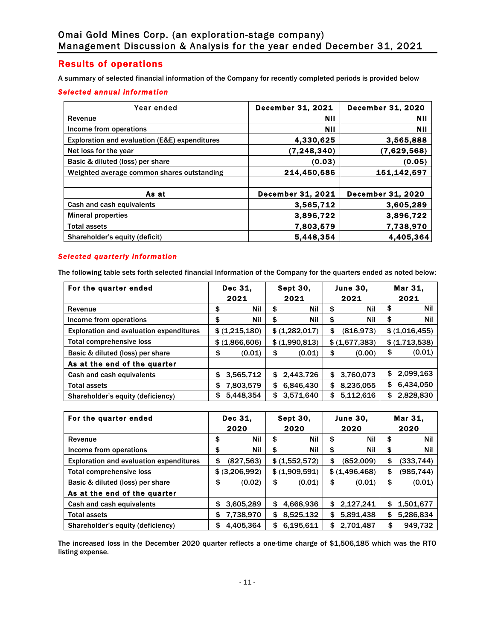# Results of operations

A summary of selected financial information of the Company for recently completed periods is provided below

## *Selected annual information*

| Year ended                                    | <b>December 31, 2021</b> | <b>December 31, 2020</b> |
|-----------------------------------------------|--------------------------|--------------------------|
| Revenue                                       | Nil                      | Nil                      |
| Income from operations                        | Nil                      | Nil                      |
| Exploration and evaluation (E&E) expenditures | 4.330.625                | 3,565,888                |
| Net loss for the year                         | (7, 248, 340)            | (7,629,568)              |
| Basic & diluted (loss) per share              | (0.03)                   | (0.05)                   |
| Weighted average common shares outstanding    | 214.450.586              | 151.142.597              |
|                                               |                          |                          |
| As at                                         | <b>December 31, 2021</b> | <b>December 31, 2020</b> |
| Cash and cash equivalents                     | 3.565.712                | 3,605,289                |
| <b>Mineral properties</b>                     | 3,896,722                | 3,896,722                |
| <b>Total assets</b>                           | 7,803,579                | 7,738,970                |
| Shareholder's equity (deficit)                | 5,448,354                | 4.405.364                |

# *Selected quarterly information*

The following table sets forth selected financial Information of the Company for the quarters ended as noted below:

| For the quarter ended                          |      | Dec 31,        | <b>Sept 30,</b>  |    | <b>June 30,</b> | Mar 31.         |
|------------------------------------------------|------|----------------|------------------|----|-----------------|-----------------|
|                                                | 2021 |                | 2021             |    | 2021            | 2021            |
| Revenue                                        | \$   | Nil            | \$<br><b>Nil</b> | \$ | Nil             | \$<br>Nil       |
| Income from operations                         | \$   | Nil            | \$<br><b>Nil</b> | \$ | Nil             | \$<br>Nil       |
| <b>Exploration and evaluation expenditures</b> |      | \$ (1,215,180) | \$ (1,282,017)   | \$ | (816.973)       | \$ (1,016,455)  |
| <b>Total comprehensive loss</b>                |      | \$ (1,866,606) | \$ (1,990.813)   |    | \$ (1,677,383)  | \$ (1,713,538)  |
| Basic & diluted (loss) per share               | \$   | (0.01)         | \$<br>(0.01)     | \$ | (0.00)          | \$<br>(0.01)    |
| As at the end of the quarter                   |      |                |                  |    |                 |                 |
| Cash and cash equivalents                      | \$   | 3,565,712      | \$<br>2,443,726  |    | \$3,760,073     | \$<br>2,099,163 |
| <b>Total assets</b>                            | \$   | 7,803,579      | \$<br>6,846,430  | \$ | 8,235,055       | \$<br>6,434,050 |
| Shareholder's equity (deficiency)              | S    | 5,448,354      | \$<br>3,571,640  | S  | 5,112,616       | \$<br>2,828,830 |

| For the quarter ended                          |    | Dec 31,        | Sept 30,        | <b>June 30,</b> | Mar 31,          |
|------------------------------------------------|----|----------------|-----------------|-----------------|------------------|
|                                                |    | 2020           | 2020            | 2020            | 2020             |
| Revenue                                        | \$ | Nil            | \$<br>Nil       | \$<br>Nil       | \$<br><b>Nil</b> |
| Income from operations                         | \$ | Nil            | \$<br>Nil       | \$<br>Nil       | \$<br><b>Nil</b> |
| <b>Exploration and evaluation expenditures</b> | \$ | (827, 563)     | \$ (1,552,572)  | \$<br>(852,009) | \$<br>(333, 744) |
| <b>Total comprehensive loss</b>                |    | \$ (3,206,992) | \$ (1,909,591)  | \$ (1,496,468)  | \$<br>(985,744)  |
| Basic & diluted (loss) per share               | \$ | (0.02)         | \$<br>(0.01)    | \$<br>(0.01)    | \$<br>(0.01)     |
| As at the end of the quarter                   |    |                |                 |                 |                  |
| Cash and cash equivalents                      | \$ | 3,605,289      | \$<br>4,668,936 | \$<br>2,127,241 | \$<br>1,501,677  |
| <b>Total assets</b>                            | \$ | 7,738,970      | \$<br>8,525,132 | \$<br>5,891,438 | \$<br>5,286,834  |
| Shareholder's equity (deficiency)              | S  | 4,405,364      | \$<br>6.195.611 | \$<br>2.701.487 | \$<br>949,732    |

The increased loss in the December 2020 quarter reflects a one-time charge of \$1,506,185 which was the RTO listing expense.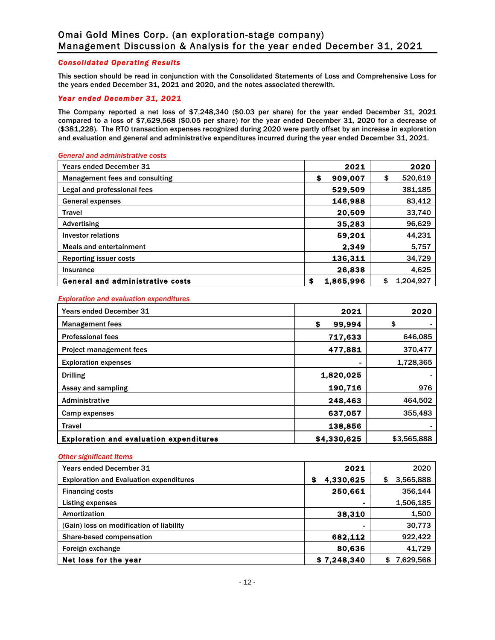#### *Consolidated Operating Results*

This section should be read in conjunction with the Consolidated Statements of Loss and Comprehensive Loss for the years ended December 31, 2021 and 2020, and the notes associated therewith.

## *Year ended December 31, 2021*

The Company reported a net loss of \$7,248,340 (\$0.03 per share) for the year ended December 31, 2021 compared to a loss of \$7,629,568 (\$0.05 per share) for the year ended December 31, 2020 for a decrease of (\$381,228). The RTO transaction expenses recognized during 2020 were partly offset by an increase in exploration and evaluation and general and administrative expenditures incurred during the year ended December 31, 2021.

#### *General and administrative costs*

| <b>Years ended December 31</b>          | 2021            | 2020            |
|-----------------------------------------|-----------------|-----------------|
| Management fees and consulting          | \$<br>909,007   | 520,619<br>\$   |
| Legal and professional fees             | 529.509         | 381.185         |
| General expenses                        | 146,988         | 83,412          |
| <b>Travel</b>                           | 20,509          | 33.740          |
| Advertising                             | 35,283          | 96,629          |
| Investor relations                      | 59,201          | 44,231          |
| <b>Meals and entertainment</b>          | 2.349           | 5.757           |
| <b>Reporting issuer costs</b>           | 136,311         | 34,729          |
| Insurance                               | 26,838          | 4.625           |
| <b>General and administrative costs</b> | \$<br>1,865,996 | 1.204.927<br>\$ |

#### *Exploration and evaluation expenditures*

| <b>Years ended December 31</b>                 | 2021         | 2020        |
|------------------------------------------------|--------------|-------------|
| <b>Management fees</b>                         | 99,994<br>\$ | \$          |
| <b>Professional fees</b>                       | 717,633      | 646,085     |
| <b>Project management fees</b>                 | 477,881      | 370,477     |
| <b>Exploration expenses</b>                    |              | 1,728,365   |
| <b>Drilling</b>                                | 1,820,025    |             |
| Assay and sampling                             | 190,716      | 976         |
| Administrative                                 | 248,463      | 464,502     |
| Camp expenses                                  | 637.057      | 355,483     |
| <b>Travel</b>                                  | 138,856      |             |
| <b>Exploration and evaluation expenditures</b> | \$4,330,625  | \$3,565,888 |

#### *Other significant Items*

| <b>Years ended December 31</b>                 | 2021            | 2020            |
|------------------------------------------------|-----------------|-----------------|
| <b>Exploration and Evaluation expenditures</b> | 4,330,625<br>\$ | 3,565,888<br>\$ |
| <b>Financing costs</b>                         | 250,661         | 356.144         |
| <b>Listing expenses</b>                        | ۰               | 1,506,185       |
| Amortization                                   | 38,310          | 1,500           |
| (Gain) loss on modification of liability       | $\blacksquare$  | 30,773          |
| Share-based compensation                       | 682.112         | 922,422         |
| Foreign exchange                               | 80.636          | 41,729          |
| Net loss for the year                          | \$7.248.340     | 7,629,568<br>\$ |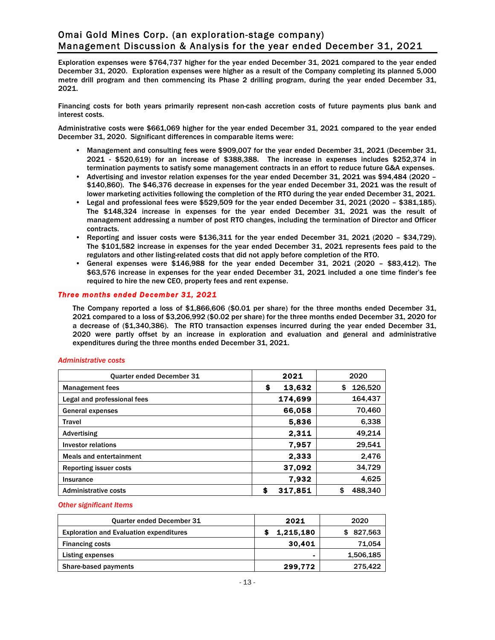Exploration expenses were \$764,737 higher for the year ended December 31, 2021 compared to the year ended December 31, 2020. Exploration expenses were higher as a result of the Company completing its planned 5,000 metre drill program and then commencing its Phase 2 drilling program, during the year ended December 31, 2021.

Financing costs for both years primarily represent non-cash accretion costs of future payments plus bank and interest costs.

Administrative costs were \$661,069 higher for the year ended December 31, 2021 compared to the year ended December 31, 2020. Significant differences in comparable items were:

- Management and consulting fees were \$909,007 for the year ended December 31, 2021 (December 31, 2021 - \$520,619) for an increase of \$388,388. The increase in expenses includes \$252,374 in termination payments to satisfy some management contracts in an effort to reduce future G&A expenses.
- Advertising and investor relation expenses for the year ended December 31, 2021 was \$94,484 (2020 \$140,860). The \$46,376 decrease in expenses for the year ended December 31, 2021 was the result of lower marketing activities following the completion of the RTO during the year ended December 31, 2021.
- Legal and professional fees were \$529,509 for the year ended December 31, 2021 (2020 \$381,185). The \$148,324 increase in expenses for the year ended December 31, 2021 was the result of management addressing a number of post RTO changes, including the termination of Director and Officer contracts.
- Reporting and issuer costs were \$136,311 for the year ended December 31, 2021 (2020 \$34,729). The \$101,582 increase in expenses for the year ended December 31, 2021 represents fees paid to the regulators and other listing-related costs that did not apply before completion of the RTO.
- General expenses were \$146,988 for the year ended December 31, 2021 (2020 \$83,412). The \$63,576 increase in expenses for the year ended December 31, 2021 included a one time finder's fee required to hire the new CEO, property fees and rent expense.

#### *Three months ended December 31, 2021*

The Company reported a loss of \$1,866,606 (\$0.01 per share) for the three months ended December 31, 2021 compared to a loss of \$3,206,992 (\$0.02 per share) for the three months ended December 31, 2020 for a decrease of (\$1,340,386). The RTO transaction expenses incurred during the year ended December 31, 2020 were partly offset by an increase in exploration and evaluation and general and administrative expenditures during the three months ended December 31, 2021.

| <b>Quarter ended December 31</b> | 2021         | 2020          |
|----------------------------------|--------------|---------------|
| <b>Management fees</b>           | \$<br>13,632 | 126,520<br>\$ |
| Legal and professional fees      | 174,699      | 164,437       |
| General expenses                 | 66,058       | 70,460        |
| <b>Travel</b>                    | 5.836        | 6,338         |
| Advertising                      | 2.311        | 49,214        |
| <b>Investor relations</b>        | 7.957        | 29,541        |
| <b>Meals and entertainment</b>   | 2,333        | 2,476         |
| <b>Reporting issuer costs</b>    | 37,092       | 34,729        |
| Insurance                        | 7.932        | 4,625         |
| <b>Administrative costs</b>      | S<br>317.851 | 488,340<br>\$ |

#### *Administrative costs*

*Other significant Items*

| <b>Quarter ended December 31</b>               | 2021      | 2020      |
|------------------------------------------------|-----------|-----------|
| <b>Exploration and Evaluation expenditures</b> | 1,215,180 | 827,563   |
| <b>Financing costs</b>                         | 30.401    | 71,054    |
| Listing expenses                               |           | 1,506,185 |
| Share-based payments                           | 299,772   | 275.422   |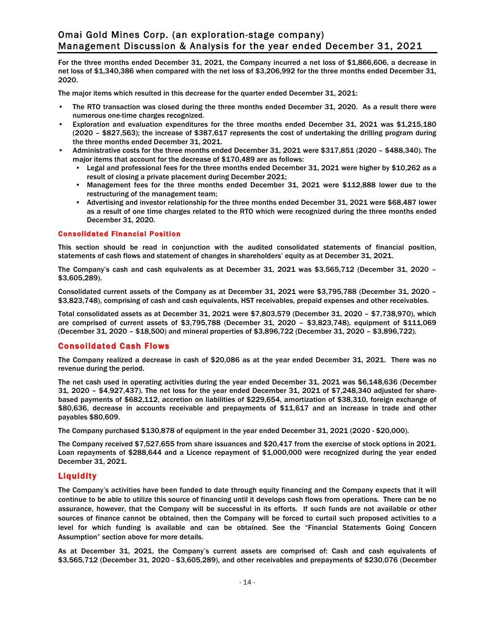For the three months ended December 31, 2021, the Company incurred a net loss of \$1,866,606, a decrease in net loss of \$1,340,386 when compared with the net loss of \$3,206,992 for the three months ended December 31, 2020.

The major items which resulted in this decrease for the quarter ended December 31, 2021:

- The RTO transaction was closed during the three months ended December 31, 2020. As a result there were numerous one-time charges recognized.
- Exploration and evaluation expenditures for the three months ended December 31, 2021 was \$1,215,180 (2020 – \$827,563); the increase of \$387,617 represents the cost of undertaking the drilling program during the three months ended December 31, 2021.
- Administrative costs for the three months ended December 31, 2021 were \$317,851 (2020 \$488,340). The major items that account for the decrease of \$170,489 are as follows:
	- Legal and professional fees for the three months ended December 31, 2021 were higher by \$10,262 as a result of closing a private placement during December 2021;
	- Management fees for the three months ended December 31, 2021 were \$112,888 lower due to the restructuring of the management team;
	- Advertising and investor relationship for the three months ended December 31, 2021 were \$68,487 lower as a result of one time charges related to the RTO which were recognized during the three months ended December 31, 2020.

#### Consolidated Financial Position

This section should be read in conjunction with the audited consolidated statements of financial position, statements of cash flows and statement of changes in shareholders' equity as at December 31, 2021.

The Company's cash and cash equivalents as at December 31, 2021 was \$3,565,712 (December 31, 2020 – \$3,605,289).

Consolidated current assets of the Company as at December 31, 2021 were \$3,795,788 (December 31, 2020 – \$3,823,748), comprising of cash and cash equivalents, HST receivables, prepaid expenses and other receivables.

Total consolidated assets as at December 31, 2021 were \$7,803,579 (December 31, 2020 – \$7,738,970), which are comprised of current assets of \$3,795,788 (December 31, 2020 – \$3,823,748), equipment of \$111,069 (December 31, 2020 – \$18,500) and mineral properties of \$3,896,722 (December 31, 2020 – \$3,896,722).

#### Consolidated Cash Flows

The Company realized a decrease in cash of \$20,086 as at the year ended December 31, 2021. There was no revenue during the period.

The net cash used in operating activities during the year ended December 31, 2021 was \$6,148,636 (December 31, 2020 – \$4,927,437). The net loss for the year ended December 31, 2021 of \$7,248,340 adjusted for sharebased payments of \$682,112, accretion on liabilities of \$229,654, amortization of \$38,310, foreign exchange of \$80,636, decrease in accounts receivable and prepayments of \$11,617 and an increase in trade and other payables \$80,609.

The Company purchased \$130,878 of equipment in the year ended December 31, 2021 (2020 - \$20,000).

The Company received \$7,527,655 from share issuances and \$20,417 from the exercise of stock options in 2021. Loan repayments of \$288,644 and a Licence repayment of \$1,000,000 were recognized during the year ended December 31, 2021.

#### Liquidity

The Company's activities have been funded to date through equity financing and the Company expects that it will continue to be able to utilize this source of financing until it develops cash flows from operations. There can be no assurance, however, that the Company will be successful in its efforts. If such funds are not available or other sources of finance cannot be obtained, then the Company will be forced to curtail such proposed activities to a level for which funding is available and can be obtained. See the "Financial Statements Going Concern Assumption" section above for more details.

As at December 31, 2021, the Company's current assets are comprised of: Cash and cash equivalents of \$3,565,712 (December 31, 2020 - \$3,605,289), and other receivables and prepayments of \$230,076 (December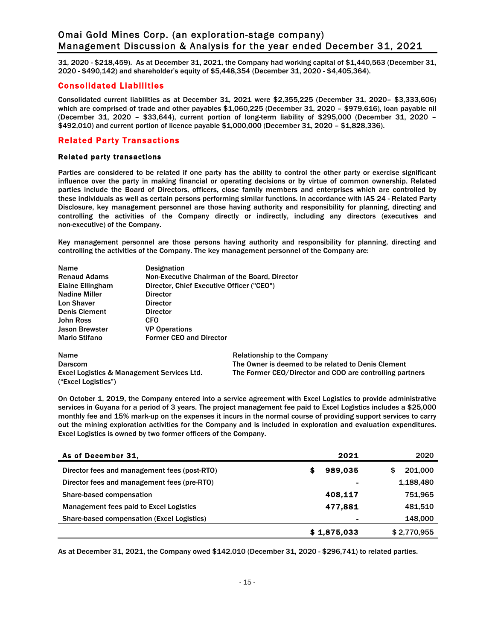31, 2020 - \$218,459). As at December 31, 2021, the Company had working capital of \$1,440,563 (December 31, 2020 - \$490,142) and shareholder's equity of \$5,448,354 (December 31, 2020 - \$4,405,364).

## Consolidated Liabilities

Consolidated current liabilities as at December 31, 2021 were \$2,355,225 (December 31, 2020– \$3,333,606) which are comprised of trade and other payables \$1,060,225 (December 31, 2020 – \$979,616), loan payable nil (December 31, 2020 – \$33,644), current portion of long-term liability of \$295,000 (December 31, 2020 – \$492,010) and current portion of licence payable \$1,000,000 (December 31, 2020 – \$1,828,336).

# Related Party Transactions

#### Related party transactions

Parties are considered to be related if one party has the ability to control the other party or exercise significant influence over the party in making financial or operating decisions or by virtue of common ownership. Related parties include the Board of Directors, officers, close family members and enterprises which are controlled by these individuals as well as certain persons performing similar functions. In accordance with IAS 24 - Related Party Disclosure, key management personnel are those having authority and responsibility for planning, directing and controlling the activities of the Company directly or indirectly, including any directors (executives and non-executive) of the Company.

Key management personnel are those persons having authority and responsibility for planning, directing and controlling the activities of the Company. The key management personnel of the Company are:

| Name                  | <b>Designation</b>                            |
|-----------------------|-----------------------------------------------|
| <b>Renaud Adams</b>   | Non-Executive Chairman of the Board, Director |
| Elaine Ellingham      | Director, Chief Executive Officer ("CEO")     |
| <b>Nadine Miller</b>  | <b>Director</b>                               |
| <b>Lon Shaver</b>     | <b>Director</b>                               |
| <b>Denis Clement</b>  | <b>Director</b>                               |
| <b>John Ross</b>      | <b>CFO</b>                                    |
| <b>Jason Brewster</b> | <b>VP Operations</b>                          |
| <b>Mario Stifano</b>  | <b>Former CEO and Director</b>                |
| Name                  | <b>Relationship to the Company</b>            |
|                       |                                               |

("Excel Logistics")

Darscom The Owner is deemed to be related to Denis Clement Excel Logistics & Management Services Ltd. The Former CEO/Director and COO are controlling partners

On October 1, 2019, the Company entered into a service agreement with Excel Logistics to provide administrative services in Guyana for a period of 3 years. The project management fee paid to Excel Logistics includes a \$25,000 monthly fee and 15% mark-up on the expenses it incurs in the normal course of providing support services to carry out the mining exploration activities for the Company and is included in exploration and evaluation expenditures. Excel Logistics is owned by two former officers of the Company.

| As of December 31,                                | 2021         | 2020         |
|---------------------------------------------------|--------------|--------------|
| Director fees and management fees (post-RTO)      | 989.035<br>s | 201,000<br>S |
| Director fees and management fees (pre-RTO)       |              | 1,188,480    |
| Share-based compensation                          | 408.117      | 751,965      |
| Management fees paid to Excel Logistics           | 477,881      | 481,510      |
| <b>Share-based compensation (Excel Logistics)</b> |              | 148,000      |
|                                                   | \$1,875,033  | \$2,770,955  |

As at December 31, 2021, the Company owed \$142,010 (December 31, 2020 - \$296,741) to related parties.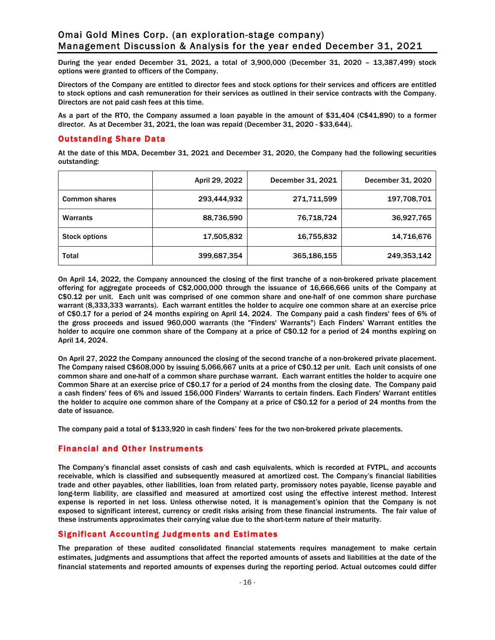During the year ended December 31, 2021, a total of 3,900,000 (December 31, 2020 – 13,387,499) stock options were granted to officers of the Company.

Directors of the Company are entitled to director fees and stock options for their services and officers are entitled to stock options and cash remuneration for their services as outlined in their service contracts with the Company. Directors are not paid cash fees at this time.

As a part of the RTO, the Company assumed a loan payable in the amount of \$31,404 (C\$41,890) to a former director. As at December 31, 2021, the loan was repaid (December 31, 2020 - \$33,644).

## Outstanding Share Data

At the date of this MDA, December 31, 2021 and December 31, 2020, the Company had the following securities outstanding:

|                      | April 29, 2022 | December 31, 2021 | December 31, 2020 |
|----------------------|----------------|-------------------|-------------------|
| <b>Common shares</b> | 293,444,932    | 271,711,599       | 197,708,701       |
| <b>Warrants</b>      | 88,736,590     | 76,718,724        | 36,927,765        |
| <b>Stock options</b> | 17,505,832     | 16,755,832        | 14,716,676        |
| <b>Total</b>         | 399,687,354    | 365,186,155       | 249,353,142       |

On April 14, 2022, the Company announced the closing of the first tranche of a non-brokered private placement offering for aggregate proceeds of C\$2,000,000 through the issuance of 16,666,666 units of the Company at C\$0.12 per unit. Each unit was comprised of one common share and one-half of one common share purchase warrant (8,333,333 warrants). Each warrant entitles the holder to acquire one common share at an exercise price of C\$0.17 for a period of 24 months expiring on April 14, 2024. The Company paid a cash finders' fees of 6% of the gross proceeds and issued 960,000 warrants (the "Finders' Warrants") Each Finders' Warrant entitles the holder to acquire one common share of the Company at a price of C\$0.12 for a period of 24 months expiring on April 14, 2024.

On April 27, 2022 the Company announced the closing of the second tranche of a non-brokered private placement. The Company raised C\$608,000 by issuing 5,066,667 units at a price of C\$0.12 per unit. Each unit consists of one common share and one-half of a common share purchase warrant. Each warrant entitles the holder to acquire one Common Share at an exercise price of C\$0.17 for a period of 24 months from the closing date. The Company paid a cash finders' fees of 6% and issued 156,000 Finders' Warrants to certain finders. Each Finders' Warrant entitles the holder to acquire one common share of the Company at a price of C\$0.12 for a period of 24 months from the date of issuance.

The company paid a total of \$133,920 in cash finders' fees for the two non-brokered private placements.

# Financial and Other Instruments

The Company's financial asset consists of cash and cash equivalents, which is recorded at FVTPL, and accounts receivable, which is classified and subsequently measured at amortized cost. The Company's financial liabilities trade and other payables, other liabilities, loan from related party, promissory notes payable, license payable and long-term liability, are classified and measured at amortized cost using the effective interest method. Interest expense is reported in net loss. Unless otherwise noted, it is management's opinion that the Company is not exposed to significant interest, currency or credit risks arising from these financial instruments. The fair value of these instruments approximates their carrying value due to the short-term nature of their maturity.

# Significant Accounting Judgments and Estimates

The preparation of these audited consolidated financial statements requires management to make certain estimates, judgments and assumptions that affect the reported amounts of assets and liabilities at the date of the financial statements and reported amounts of expenses during the reporting period. Actual outcomes could differ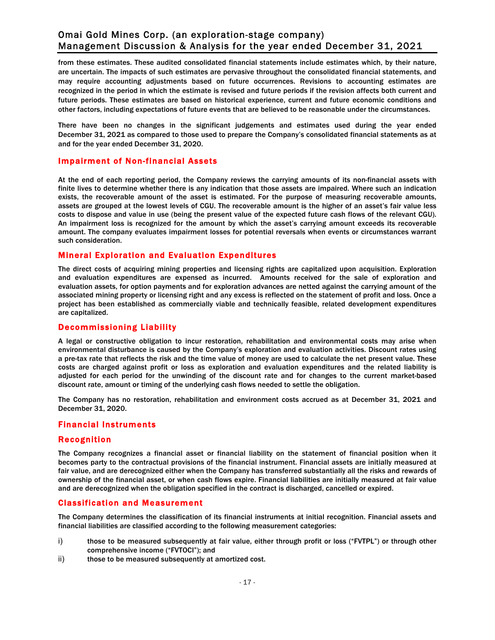from these estimates. These audited consolidated financial statements include estimates which, by their nature, are uncertain. The impacts of such estimates are pervasive throughout the consolidated financial statements, and may require accounting adjustments based on future occurrences. Revisions to accounting estimates are recognized in the period in which the estimate is revised and future periods if the revision affects both current and future periods. These estimates are based on historical experience, current and future economic conditions and other factors, including expectations of future events that are believed to be reasonable under the circumstances.

There have been no changes in the significant judgements and estimates used during the year ended December 31, 2021 as compared to those used to prepare the Company's consolidated financial statements as at and for the year ended December 31, 2020.

## Impairment of Non-financial Assets

At the end of each reporting period, the Company reviews the carrying amounts of its non-financial assets with finite lives to determine whether there is any indication that those assets are impaired. Where such an indication exists, the recoverable amount of the asset is estimated. For the purpose of measuring recoverable amounts, assets are grouped at the lowest levels of CGU. The recoverable amount is the higher of an asset's fair value less costs to dispose and value in use (being the present value of the expected future cash flows of the relevant CGU). An impairment loss is recognized for the amount by which the asset's carrying amount exceeds its recoverable amount. The company evaluates impairment losses for potential reversals when events or circumstances warrant such consideration.

## Mineral Exploration and Evaluation Expenditures

The direct costs of acquiring mining properties and licensing rights are capitalized upon acquisition. Exploration and evaluation expenditures are expensed as incurred. Amounts received for the sale of exploration and evaluation assets, for option payments and for exploration advances are netted against the carrying amount of the associated mining property or licensing right and any excess is reflected on the statement of profit and loss. Once a project has been established as commercially viable and technically feasible, related development expenditures are capitalized.

# Decommissioning Liability

A legal or constructive obligation to incur restoration, rehabilitation and environmental costs may arise when environmental disturbance is caused by the Company's exploration and evaluation activities. Discount rates using a pre-tax rate that reflects the risk and the time value of money are used to calculate the net present value. These costs are charged against profit or loss as exploration and evaluation expenditures and the related liability is adjusted for each period for the unwinding of the discount rate and for changes to the current market-based discount rate, amount or timing of the underlying cash flows needed to settle the obligation.

The Company has no restoration, rehabilitation and environment costs accrued as at December 31, 2021 and December 31, 2020.

#### Financial Instruments

#### Recognition

The Company recognizes a financial asset or financial liability on the statement of financial position when it becomes party to the contractual provisions of the financial instrument. Financial assets are initially measured at fair value, and are derecognized either when the Company has transferred substantially all the risks and rewards of ownership of the financial asset, or when cash flows expire. Financial liabilities are initially measured at fair value and are derecognized when the obligation specified in the contract is discharged, cancelled or expired.

#### Classification and Measurement

The Company determines the classification of its financial instruments at initial recognition. Financial assets and financial liabilities are classified according to the following measurement categories:

- i) those to be measured subsequently at fair value, either through profit or loss ("FVTPL") or through other comprehensive income ("FVTOCI"); and
- ii) those to be measured subsequently at amortized cost.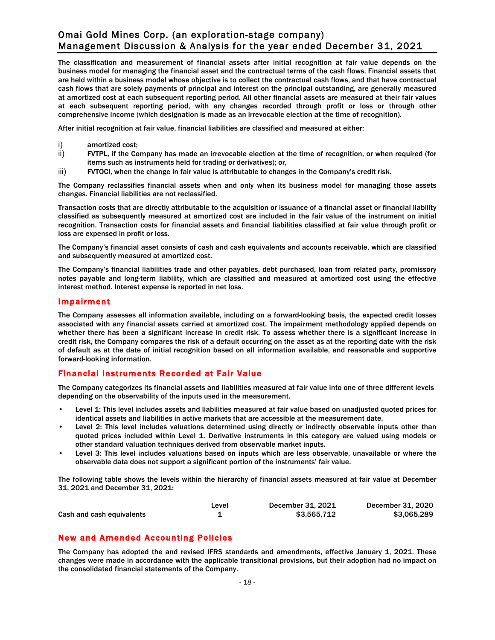The classification and measurement of financial assets after initial recognition at fair value depends on the business model for managing the financial asset and the contractual terms of the cash flows. Financial assets that are held within a business model whose objective is to collect the contractual cash flows, and that have contractual cash flows that are solely payments of principal and interest on the principal outstanding, are generally measured at amortized cost at each subsequent reporting period. All other financial assets are measured at their fair values at each subsequent reporting period, with any changes recorded through profit or loss or through other comprehensive income (which designation is made as an irrevocable election at the time of recognition).

After initial recognition at fair value, financial liabilities are classified and measured at either:

- i) amortized cost;
- ii) FVTPL, if the Company has made an irrevocable election at the time of recognition, or when required (for items such as instruments held for trading or derivatives); or,
- iii) FVTOCI, when the change in fair value is attributable to changes in the Company's credit risk.

The Company reclassifies financial assets when and only when its business model for managing those assets changes. Financial liabilities are not reclassified.

Transaction costs that are directly attributable to the acquisition or issuance of a financial asset or financial liability classified as subsequently measured at amortized cost are included in the fair value of the instrument on initial recognition. Transaction costs for financial assets and financial liabilities classified at fair value through profit or loss are expensed in profit or loss.

The Company's financial asset consists of cash and cash equivalents and accounts receivable, which are classified and subsequently measured at amortized cost.

The Company's financial liabilities trade and other payables, debt purchased, loan from related party, promissory notes payable and long-term liability, which are classified and measured at amortized cost using the effective interest method. Interest expense is reported in net loss.

#### Impairment

The Company assesses all information available, including on a forward-looking basis, the expected credit losses associated with any financial assets carried at amortized cost. The impairment methodology applied depends on whether there has been a significant increase in credit risk. To assess whether there is a significant increase in credit risk, the Company compares the risk of a default occurring on the asset as at the reporting date with the risk of default as at the date of initial recognition based on all information available, and reasonable and supportive forward-looking information.

# Financial Instruments Recorded at Fair Value

The Company categorizes its financial assets and liabilities measured at fair value into one of three different levels depending on the observability of the inputs used in the measurement.

- Level 1: This level includes assets and liabilities measured at fair value based on unadjusted quoted prices for identical assets and liabilities in active markets that are accessible at the measurement date.
- Level 2: This level includes valuations determined using directly or indirectly observable inputs other than quoted prices included within Level 1. Derivative instruments in this category are valued using models or other standard valuation techniques derived from observable market inputs.
- Level 3: This level includes valuations based on inputs which are less observable, unavailable or where the observable data does not support a significant portion of the instruments' fair value.

The following table shows the levels within the hierarchy of financial assets measured at fair value at December 31, 2021 and December 31, 2021:

|                           | Level | December 31, 2021 | December 31, 2020 |
|---------------------------|-------|-------------------|-------------------|
| Cash and cash equivalents |       | \$3,565,712       | \$3,065,289       |

# New and Amended Accounting Policies

The Company has adopted the and revised IFRS standards and amendments, effective January 1, 2021. These changes were made in accordance with the applicable transitional provisions, but their adoption had no impact on the consolidated financial statements of the Company.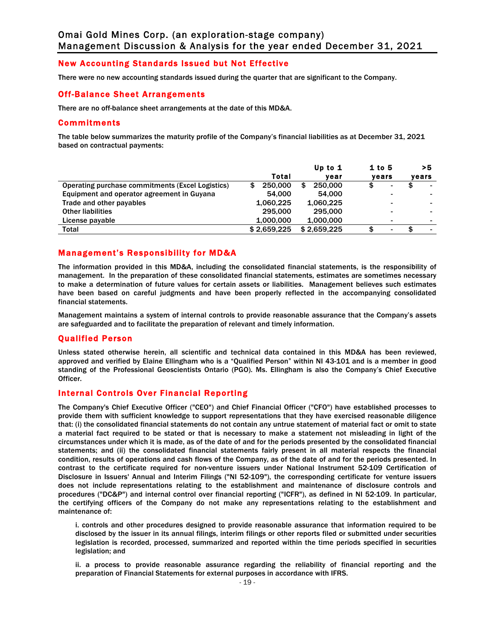# New Accounting Standards Issued but Not Effective

There were no new accounting standards issued during the quarter that are significant to the Company.

#### Off-Balance Sheet Arrangements

There are no off-balance sheet arrangements at the date of this MD&A.

#### Commitments

The table below summarizes the maturity profile of the Company's financial liabilities as at December 31, 2021 based on contractual payments:

|                                                  | Total        | Up to $1$    | $1$ to 5                 | >5    |
|--------------------------------------------------|--------------|--------------|--------------------------|-------|
|                                                  |              | vear         | vears                    | years |
| Operating purchase commitments (Excel Logistics) | 250,000<br>S | 250,000<br>S | \$<br>٠                  |       |
| Equipment and operator agreement in Guyana       | 54,000       | 54.000       |                          |       |
| Trade and other payables                         | 1,060,225    | 1,060,225    | $\overline{\phantom{a}}$ |       |
| <b>Other liabilities</b>                         | 295,000      | 295,000      |                          |       |
| License payable                                  | 1,000,000    | 1,000,000    |                          |       |
| Total                                            | \$2.659.225  | \$2.659.225  | \$<br>۰                  |       |

# Management's Responsibility for MD&A

The information provided in this MD&A, including the consolidated financial statements, is the responsibility of management. In the preparation of these consolidated financial statements, estimates are sometimes necessary to make a determination of future values for certain assets or liabilities. Management believes such estimates have been based on careful judgments and have been properly reflected in the accompanying consolidated financial statements.

Management maintains a system of internal controls to provide reasonable assurance that the Company's assets are safeguarded and to facilitate the preparation of relevant and timely information.

#### Qualified Person

Unless stated otherwise herein, all scientific and technical data contained in this MD&A has been reviewed, approved and verified by Elaine Ellingham who is a "Qualified Person" within NI 43-101 and is a member in good standing of the Professional Geoscientists Ontario (PGO). Ms. Ellingham is also the Company's Chief Executive Officer.

#### Internal Controls Over Financial Reporting

The Company's Chief Executive Officer ("CEO") and Chief Financial Officer ("CFO") have established processes to provide them with sufficient knowledge to support representations that they have exercised reasonable diligence that: (i) the consolidated financial statements do not contain any untrue statement of material fact or omit to state a material fact required to be stated or that is necessary to make a statement not misleading in light of the circumstances under which it is made, as of the date of and for the periods presented by the consolidated financial statements; and (ii) the consolidated financial statements fairly present in all material respects the financial condition, results of operations and cash flows of the Company, as of the date of and for the periods presented. In contrast to the certificate required for non-venture issuers under National Instrument 52-109 Certification of Disclosure in Issuers' Annual and Interim Filings ("NI 52-109"), the corresponding certificate for venture issuers does not include representations relating to the establishment and maintenance of disclosure controls and procedures ("DC&P") and internal control over financial reporting ("ICFR"), as defined in NI 52-109. In particular, the certifying officers of the Company do not make any representations relating to the establishment and maintenance of:

i. controls and other procedures designed to provide reasonable assurance that information required to be disclosed by the issuer in its annual filings, interim filings or other reports filed or submitted under securities legislation is recorded, processed, summarized and reported within the time periods specified in securities legislation; and

ii. a process to provide reasonable assurance regarding the reliability of financial reporting and the preparation of Financial Statements for external purposes in accordance with IFRS.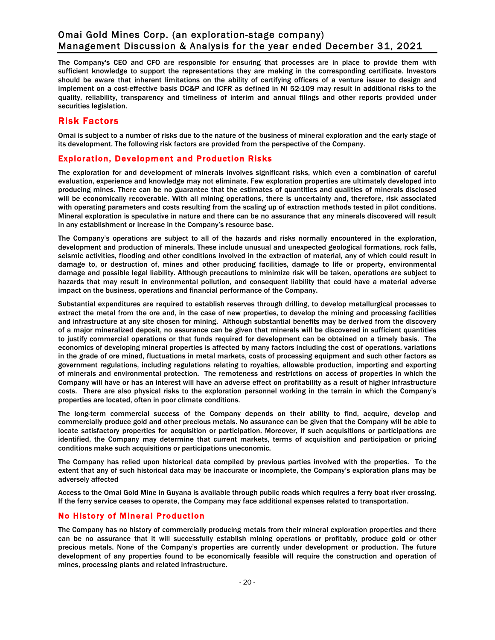The Company's CEO and CFO are responsible for ensuring that processes are in place to provide them with sufficient knowledge to support the representations they are making in the corresponding certificate. Investors should be aware that inherent limitations on the ability of certifying officers of a venture issuer to design and implement on a cost-effective basis DC&P and ICFR as defined in NI 52-109 may result in additional risks to the quality, reliability, transparency and timeliness of interim and annual filings and other reports provided under securities legislation.

# Risk Factors

Omai is subject to a number of risks due to the nature of the business of mineral exploration and the early stage of its development. The following risk factors are provided from the perspective of the Company.

# Exploration, Development and Production Risks

The exploration for and development of minerals involves significant risks, which even a combination of careful evaluation, experience and knowledge may not eliminate. Few exploration properties are ultimately developed into producing mines. There can be no guarantee that the estimates of quantities and qualities of minerals disclosed will be economically recoverable. With all mining operations, there is uncertainty and, therefore, risk associated with operating parameters and costs resulting from the scaling up of extraction methods tested in pilot conditions. Mineral exploration is speculative in nature and there can be no assurance that any minerals discovered will result in any establishment or increase in the Company's resource base.

The Company's operations are subject to all of the hazards and risks normally encountered in the exploration, development and production of minerals. These include unusual and unexpected geological formations, rock falls, seismic activities, flooding and other conditions involved in the extraction of material, any of which could result in damage to, or destruction of, mines and other producing facilities, damage to life or property, environmental damage and possible legal liability. Although precautions to minimize risk will be taken, operations are subject to hazards that may result in environmental pollution, and consequent liability that could have a material adverse impact on the business, operations and financial performance of the Company.

Substantial expenditures are required to establish reserves through drilling, to develop metallurgical processes to extract the metal from the ore and, in the case of new properties, to develop the mining and processing facilities and infrastructure at any site chosen for mining. Although substantial benefits may be derived from the discovery of a major mineralized deposit, no assurance can be given that minerals will be discovered in sufficient quantities to justify commercial operations or that funds required for development can be obtained on a timely basis. The economics of developing mineral properties is affected by many factors including the cost of operations, variations in the grade of ore mined, fluctuations in metal markets, costs of processing equipment and such other factors as government regulations, including regulations relating to royalties, allowable production, importing and exporting of minerals and environmental protection. The remoteness and restrictions on access of properties in which the Company will have or has an interest will have an adverse effect on profitability as a result of higher infrastructure costs. There are also physical risks to the exploration personnel working in the terrain in which the Company's properties are located, often in poor climate conditions.

The long-term commercial success of the Company depends on their ability to find, acquire, develop and commercially produce gold and other precious metals. No assurance can be given that the Company will be able to locate satisfactory properties for acquisition or participation. Moreover, if such acquisitions or participations are identified, the Company may determine that current markets, terms of acquisition and participation or pricing conditions make such acquisitions or participations uneconomic.

The Company has relied upon historical data compiled by previous parties involved with the properties. To the extent that any of such historical data may be inaccurate or incomplete, the Company's exploration plans may be adversely affected

Access to the Omai Gold Mine in Guyana is available through public roads which requires a ferry boat river crossing. If the ferry service ceases to operate, the Company may face additional expenses related to transportation.

#### No History of Mineral Production

The Company has no history of commercially producing metals from their mineral exploration properties and there can be no assurance that it will successfully establish mining operations or profitably, produce gold or other precious metals. None of the Company's properties are currently under development or production. The future development of any properties found to be economically feasible will require the construction and operation of mines, processing plants and related infrastructure.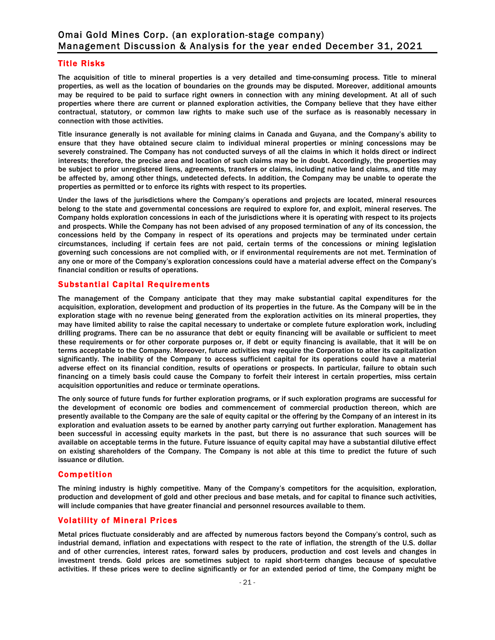## Title Risks

The acquisition of title to mineral properties is a very detailed and time-consuming process. Title to mineral properties, as well as the location of boundaries on the grounds may be disputed. Moreover, additional amounts may be required to be paid to surface right owners in connection with any mining development. At all of such properties where there are current or planned exploration activities, the Company believe that they have either contractual, statutory, or common law rights to make such use of the surface as is reasonably necessary in connection with those activities.

Title insurance generally is not available for mining claims in Canada and Guyana, and the Company's ability to ensure that they have obtained secure claim to individual mineral properties or mining concessions may be severely constrained. The Company has not conducted surveys of all the claims in which it holds direct or indirect interests; therefore, the precise area and location of such claims may be in doubt. Accordingly, the properties may be subject to prior unregistered liens, agreements, transfers or claims, including native land claims, and title may be affected by, among other things, undetected defects. In addition, the Company may be unable to operate the properties as permitted or to enforce its rights with respect to its properties.

Under the laws of the jurisdictions where the Company's operations and projects are located, mineral resources belong to the state and governmental concessions are required to explore for, and exploit, mineral reserves. The Company holds exploration concessions in each of the jurisdictions where it is operating with respect to its projects and prospects. While the Company has not been advised of any proposed termination of any of its concession, the concessions held by the Company in respect of its operations and projects may be terminated under certain circumstances, including if certain fees are not paid, certain terms of the concessions or mining legislation governing such concessions are not complied with, or if environmental requirements are not met. Termination of any one or more of the Company's exploration concessions could have a material adverse effect on the Company's financial condition or results of operations.

## Substantial Capital Requirements

The management of the Company anticipate that they may make substantial capital expenditures for the acquisition, exploration, development and production of its properties in the future. As the Company will be in the exploration stage with no revenue being generated from the exploration activities on its mineral properties, they may have limited ability to raise the capital necessary to undertake or complete future exploration work, including drilling programs. There can be no assurance that debt or equity financing will be available or sufficient to meet these requirements or for other corporate purposes or, if debt or equity financing is available, that it will be on terms acceptable to the Company. Moreover, future activities may require the Corporation to alter its capitalization significantly. The inability of the Company to access sufficient capital for its operations could have a material adverse effect on its financial condition, results of operations or prospects. In particular, failure to obtain such financing on a timely basis could cause the Company to forfeit their interest in certain properties, miss certain acquisition opportunities and reduce or terminate operations.

The only source of future funds for further exploration programs, or if such exploration programs are successful for the development of economic ore bodies and commencement of commercial production thereon, which are presently available to the Company are the sale of equity capital or the offering by the Company of an interest in its exploration and evaluation assets to be earned by another party carrying out further exploration. Management has been successful in accessing equity markets in the past, but there is no assurance that such sources will be available on acceptable terms in the future. Future issuance of equity capital may have a substantial dilutive effect on existing shareholders of the Company. The Company is not able at this time to predict the future of such issuance or dilution.

# **Competition**

The mining industry is highly competitive. Many of the Company's competitors for the acquisition, exploration, production and development of gold and other precious and base metals, and for capital to finance such activities, will include companies that have greater financial and personnel resources available to them.

# Volatility of Mineral Prices

Metal prices fluctuate considerably and are affected by numerous factors beyond the Company's control, such as industrial demand, inflation and expectations with respect to the rate of inflation, the strength of the U.S. dollar and of other currencies, interest rates, forward sales by producers, production and cost levels and changes in investment trends. Gold prices are sometimes subject to rapid short-term changes because of speculative activities. If these prices were to decline significantly or for an extended period of time, the Company might be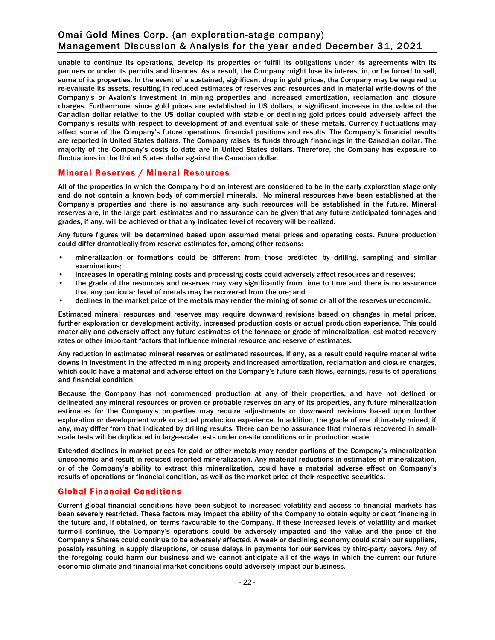unable to continue its operations, develop its properties or fulfill its obligations under its agreements with its partners or under its permits and licences. As a result, the Company might lose its interest in, or be forced to sell, some of its properties. In the event of a sustained, significant drop in gold prices, the Company may be required to re-evaluate its assets, resulting in reduced estimates of reserves and resources and in material write-downs of the Company's or Avalon's investment in mining properties and increased amortization, reclamation and closure charges. Furthermore, since gold prices are established in US dollars, a significant increase in the value of the Canadian dollar relative to the US dollar coupled with stable or declining gold prices could adversely affect the Company's results with respect to development of and eventual sale of these metals. Currency fluctuations may affect some of the Company's future operations, financial positions and results. The Company's financial results are reported in United States dollars. The Company raises its funds through financings in the Canadian dollar. The majority of the Company's costs to date are in United States dollars. Therefore, the Company has exposure to fluctuations in the United States dollar against the Canadian dollar.

# Mineral Reserves / Mineral Resources

All of the properties in which the Company hold an interest are considered to be in the early exploration stage only and do not contain a known body of commercial minerals. No mineral resources have been established at the Company's properties and there is no assurance any such resources will be established in the future. Mineral reserves are, in the large part, estimates and no assurance can be given that any future anticipated tonnages and grades, if any, will be achieved or that any indicated level of recovery will be realized.

Any future figures will be determined based upon assumed metal prices and operating costs. Future production could differ dramatically from reserve estimates for, among other reasons:

- mineralization or formations could be different from those predicted by drilling, sampling and similar examinations;
- increases in operating mining costs and processing costs could adversely affect resources and reserves;
- the grade of the resources and reserves may vary significantly from time to time and there is no assurance that any particular level of metals may be recovered from the ore; and
- declines in the market price of the metals may render the mining of some or all of the reserves uneconomic.

Estimated mineral resources and reserves may require downward revisions based on changes in metal prices, further exploration or development activity, increased production costs or actual production experience. This could materially and adversely affect any future estimates of the tonnage or grade of mineralization, estimated recovery rates or other important factors that influence mineral resource and reserve of estimates.

Any reduction in estimated mineral reserves or estimated resources, if any, as a result could require material write downs in investment in the affected mining property and increased amortization, reclamation and closure charges, which could have a material and adverse effect on the Company's future cash flows, earnings, results of operations and financial condition.

Because the Company has not commenced production at any of their properties, and have not defined or delineated any mineral resources or proven or probable reserves on any of its properties, any future mineralization estimates for the Company's properties may require adjustments or downward revisions based upon further exploration or development work or actual production experience. In addition, the grade of ore ultimately mined, if any, may differ from that indicated by drilling results. There can be no assurance that minerals recovered in smallscale tests will be duplicated in large-scale tests under on-site conditions or in production scale.

Extended declines in market prices for gold or other metals may render portions of the Company's mineralization uneconomic and result in reduced reported mineralization. Any material reductions in estimates of mineralization, or of the Company's ability to extract this mineralization, could have a material adverse effect on Company's results of operations or financial condition, as well as the market price of their respective securities.

# Global Financial Conditions

Current global financial conditions have been subject to increased volatility and access to financial markets has been severely restricted. These factors may impact the ability of the Company to obtain equity or debt financing in the future and, if obtained, on terms favourable to the Company. If these increased levels of volatility and market turmoil continue, the Company's operations could be adversely impacted and the value and the price of the Company's Shares could continue to be adversely affected. A weak or declining economy could strain our suppliers, possibly resulting in supply disruptions, or cause delays in payments for our services by third-party payors. Any of the foregoing could harm our business and we cannot anticipate all of the ways in which the current our future economic climate and financial market conditions could adversely impact our business.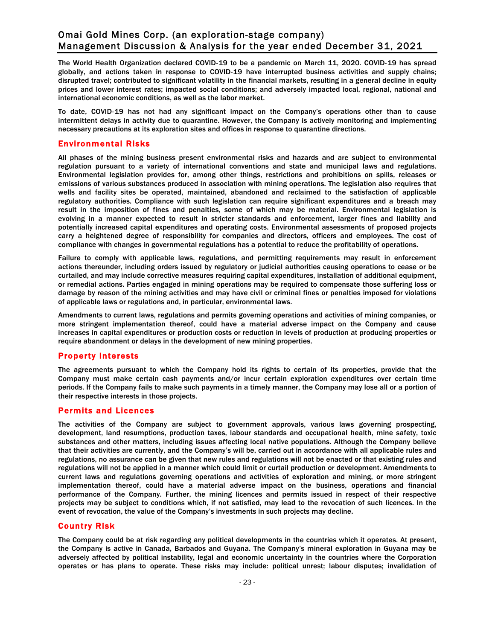The World Health Organization declared COVID-19 to be a pandemic on March 11, 2020. COVID-19 has spread globally, and actions taken in response to COVID-19 have interrupted business activities and supply chains; disrupted travel; contributed to significant volatility in the financial markets, resulting in a general decline in equity prices and lower interest rates; impacted social conditions; and adversely impacted local, regional, national and international economic conditions, as well as the labor market.

To date, COVID-19 has not had any significant impact on the Company's operations other than to cause intermittent delays in activity due to quarantine. However, the Company is actively monitoring and implementing necessary precautions at its exploration sites and offices in response to quarantine directions.

#### Environmental Risks

All phases of the mining business present environmental risks and hazards and are subject to environmental regulation pursuant to a variety of international conventions and state and municipal laws and regulations. Environmental legislation provides for, among other things, restrictions and prohibitions on spills, releases or emissions of various substances produced in association with mining operations. The legislation also requires that wells and facility sites be operated, maintained, abandoned and reclaimed to the satisfaction of applicable regulatory authorities. Compliance with such legislation can require significant expenditures and a breach may result in the imposition of fines and penalties, some of which may be material. Environmental legislation is evolving in a manner expected to result in stricter standards and enforcement, larger fines and liability and potentially increased capital expenditures and operating costs. Environmental assessments of proposed projects carry a heightened degree of responsibility for companies and directors, officers and employees. The cost of compliance with changes in governmental regulations has a potential to reduce the profitability of operations.

Failure to comply with applicable laws, regulations, and permitting requirements may result in enforcement actions thereunder, including orders issued by regulatory or judicial authorities causing operations to cease or be curtailed, and may include corrective measures requiring capital expenditures, installation of additional equipment, or remedial actions. Parties engaged in mining operations may be required to compensate those suffering loss or damage by reason of the mining activities and may have civil or criminal fines or penalties imposed for violations of applicable laws or regulations and, in particular, environmental laws.

Amendments to current laws, regulations and permits governing operations and activities of mining companies, or more stringent implementation thereof, could have a material adverse impact on the Company and cause increases in capital expenditures or production costs or reduction in levels of production at producing properties or require abandonment or delays in the development of new mining properties.

#### Property Interests

The agreements pursuant to which the Company hold its rights to certain of its properties, provide that the Company must make certain cash payments and/or incur certain exploration expenditures over certain time periods. If the Company fails to make such payments in a timely manner, the Company may lose all or a portion of their respective interests in those projects.

#### Permits and Licences

The activities of the Company are subject to government approvals, various laws governing prospecting, development, land resumptions, production taxes, labour standards and occupational health, mine safety, toxic substances and other matters, including issues affecting local native populations. Although the Company believe that their activities are currently, and the Company's will be, carried out in accordance with all applicable rules and regulations, no assurance can be given that new rules and regulations will not be enacted or that existing rules and regulations will not be applied in a manner which could limit or curtail production or development. Amendments to current laws and regulations governing operations and activities of exploration and mining, or more stringent implementation thereof, could have a material adverse impact on the business, operations and financial performance of the Company. Further, the mining licences and permits issued in respect of their respective projects may be subject to conditions which, if not satisfied, may lead to the revocation of such licences. In the event of revocation, the value of the Company's investments in such projects may decline.

#### Country Risk

The Company could be at risk regarding any political developments in the countries which it operates. At present, the Company is active in Canada, Barbados and Guyana. The Company's mineral exploration in Guyana may be adversely affected by political instability, legal and economic uncertainty in the countries where the Corporation operates or has plans to operate. These risks may include: political unrest; labour disputes; invalidation of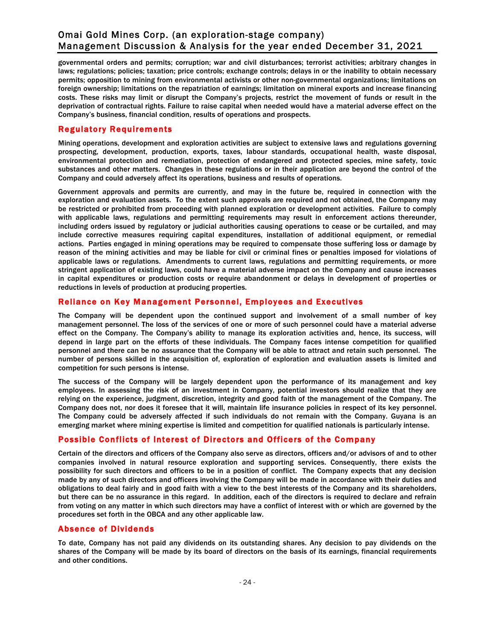governmental orders and permits; corruption; war and civil disturbances; terrorist activities; arbitrary changes in laws; regulations; policies; taxation; price controls; exchange controls; delays in or the inability to obtain necessary permits; opposition to mining from environmental activists or other non-governmental organizations; limitations on foreign ownership; limitations on the repatriation of earnings; limitation on mineral exports and increase financing costs. These risks may limit or disrupt the Company's projects, restrict the movement of funds or result in the deprivation of contractual rights. Failure to raise capital when needed would have a material adverse effect on the Company's business, financial condition, results of operations and prospects.

# Regulatory Requirements

Mining operations, development and exploration activities are subject to extensive laws and regulations governing prospecting, development, production, exports, taxes, labour standards, occupational health, waste disposal, environmental protection and remediation, protection of endangered and protected species, mine safety, toxic substances and other matters. Changes in these regulations or in their application are beyond the control of the Company and could adversely affect its operations, business and results of operations.

Government approvals and permits are currently, and may in the future be, required in connection with the exploration and evaluation assets. To the extent such approvals are required and not obtained, the Company may be restricted or prohibited from proceeding with planned exploration or development activities. Failure to comply with applicable laws, regulations and permitting requirements may result in enforcement actions thereunder, including orders issued by regulatory or judicial authorities causing operations to cease or be curtailed, and may include corrective measures requiring capital expenditures, installation of additional equipment, or remedial actions. Parties engaged in mining operations may be required to compensate those suffering loss or damage by reason of the mining activities and may be liable for civil or criminal fines or penalties imposed for violations of applicable laws or regulations. Amendments to current laws, regulations and permitting requirements, or more stringent application of existing laws, could have a material adverse impact on the Company and cause increases in capital expenditures or production costs or require abandonment or delays in development of properties or reductions in levels of production at producing properties.

## Reliance on Key Management Personnel, Employees and Executives

The Company will be dependent upon the continued support and involvement of a small number of key management personnel. The loss of the services of one or more of such personnel could have a material adverse effect on the Company. The Company's ability to manage its exploration activities and, hence, its success, will depend in large part on the efforts of these individuals. The Company faces intense competition for qualified personnel and there can be no assurance that the Company will be able to attract and retain such personnel. The number of persons skilled in the acquisition of, exploration of exploration and evaluation assets is limited and competition for such persons is intense.

The success of the Company will be largely dependent upon the performance of its management and key employees. In assessing the risk of an investment in Company, potential investors should realize that they are relying on the experience, judgment, discretion, integrity and good faith of the management of the Company. The Company does not, nor does it foresee that it will, maintain life insurance policies in respect of its key personnel. The Company could be adversely affected if such individuals do not remain with the Company. Guyana is an emerging market where mining expertise is limited and competition for qualified nationals is particularly intense.

# Possible Conflicts of Interest of Directors and Officers of the Company

Certain of the directors and officers of the Company also serve as directors, officers and/or advisors of and to other companies involved in natural resource exploration and supporting services. Consequently, there exists the possibility for such directors and officers to be in a position of conflict. The Company expects that any decision made by any of such directors and officers involving the Company will be made in accordance with their duties and obligations to deal fairly and in good faith with a view to the best interests of the Company and its shareholders, but there can be no assurance in this regard. In addition, each of the directors is required to declare and refrain from voting on any matter in which such directors may have a conflict of interest with or which are governed by the procedures set forth in the OBCA and any other applicable law.

#### Absence of Dividends

To date, Company has not paid any dividends on its outstanding shares. Any decision to pay dividends on the shares of the Company will be made by its board of directors on the basis of its earnings, financial requirements and other conditions.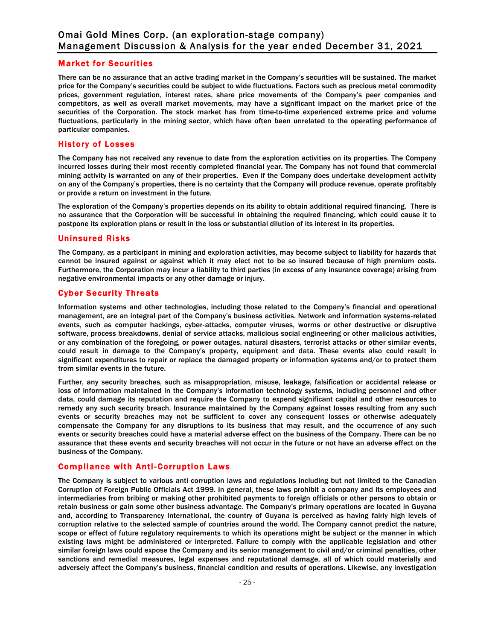## Market for Securities

There can be no assurance that an active trading market in the Company's securities will be sustained. The market price for the Company's securities could be subject to wide fluctuations. Factors such as precious metal commodity prices, government regulation, interest rates, share price movements of the Company's peer companies and competitors, as well as overall market movements, may have a significant impact on the market price of the securities of the Corporation. The stock market has from time-to-time experienced extreme price and volume fluctuations, particularly in the mining sector, which have often been unrelated to the operating performance of particular companies.

#### History of Losses

The Company has not received any revenue to date from the exploration activities on its properties. The Company incurred losses during their most recently completed financial year. The Company has not found that commercial mining activity is warranted on any of their properties. Even if the Company does undertake development activity on any of the Company's properties, there is no certainty that the Company will produce revenue, operate profitably or provide a return on investment in the future.

The exploration of the Company's properties depends on its ability to obtain additional required financing. There is no assurance that the Corporation will be successful in obtaining the required financing, which could cause it to postpone its exploration plans or result in the loss or substantial dilution of its interest in its properties.

#### Uninsured Risks

The Company, as a participant in mining and exploration activities, may become subject to liability for hazards that cannot be insured against or against which it may elect not to be so insured because of high premium costs. Furthermore, the Corporation may incur a liability to third parties (in excess of any insurance coverage) arising from negative environmental impacts or any other damage or injury.

# Cyber Security Threats

Information systems and other technologies, including those related to the Company's financial and operational management, are an integral part of the Company's business activities. Network and information systems-related events, such as computer hackings, cyber-attacks, computer viruses, worms or other destructive or disruptive software, process breakdowns, denial of service attacks, malicious social engineering or other malicious activities, or any combination of the foregoing, or power outages, natural disasters, terrorist attacks or other similar events, could result in damage to the Company's property, equipment and data. These events also could result in significant expenditures to repair or replace the damaged property or information systems and/or to protect them from similar events in the future.

Further, any security breaches, such as misappropriation, misuse, leakage, falsification or accidental release or loss of information maintained in the Company's information technology systems, including personnel and other data, could damage its reputation and require the Company to expend significant capital and other resources to remedy any such security breach. Insurance maintained by the Company against losses resulting from any such events or security breaches may not be sufficient to cover any consequent losses or otherwise adequately compensate the Company for any disruptions to its business that may result, and the occurrence of any such events or security breaches could have a material adverse effect on the business of the Company. There can be no assurance that these events and security breaches will not occur in the future or not have an adverse effect on the business of the Company.

# Compliance with Anti-Corruption Laws

The Company is subject to various anti-corruption laws and regulations including but not limited to the Canadian Corruption of Foreign Public Officials Act 1999. In general, these laws prohibit a company and its employees and intermediaries from bribing or making other prohibited payments to foreign officials or other persons to obtain or retain business or gain some other business advantage. The Company's primary operations are located in Guyana and, according to Transparency International, the country of Guyana is perceived as having fairly high levels of corruption relative to the selected sample of countries around the world. The Company cannot predict the nature, scope or effect of future regulatory requirements to which its operations might be subject or the manner in which existing laws might be administered or interpreted. Failure to comply with the applicable legislation and other similar foreign laws could expose the Company and its senior management to civil and/or criminal penalties, other sanctions and remedial measures, legal expenses and reputational damage, all of which could materially and adversely affect the Company's business, financial condition and results of operations. Likewise, any investigation